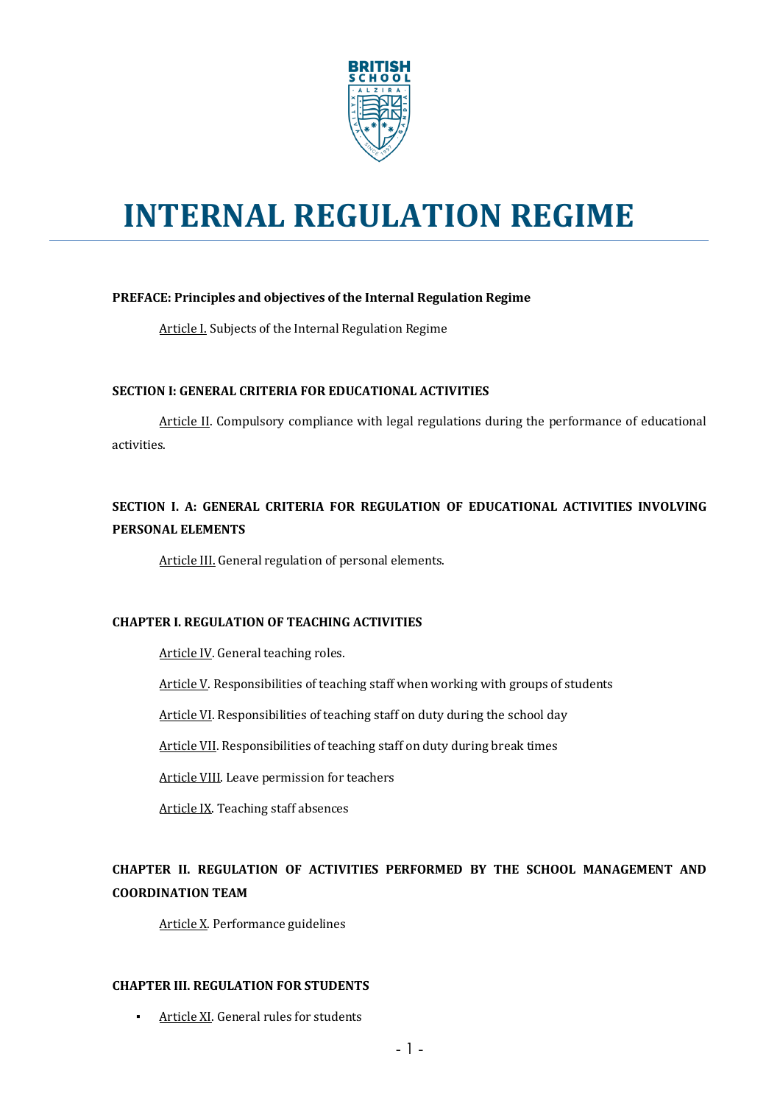

# **INTERNAL REGULATION REGIME**

#### PREFACE: Principles and objectives of the Internal Regulation Regime

Article I. Subjects of the Internal Regulation Regime

#### **SECTION I: GENERAL CRITERIA FOR EDUCATIONAL ACTIVITIES**

Article II. Compulsory compliance with legal regulations during the performance of educational activities. 

### **SECTION I. A: GENERAL CRITERIA FOR REGULATION OF EDUCATIONAL ACTIVITIES INVOLVING PERSONAL ELEMENTS**

Article III. General regulation of personal elements.

#### **CHAPTER I. REGULATION OF TEACHING ACTIVITIES**

Article IV. General teaching roles.

Article V. Responsibilities of teaching staff when working with groups of students

Article VI. Responsibilities of teaching staff on duty during the school day

Article VII. Responsibilities of teaching staff on duty during break times

Article VIII. Leave permission for teachers

Article IX. Teaching staff absences

### CHAPTER II. REGULATION OF ACTIVITIES PERFORMED BY THE SCHOOL MANAGEMENT AND **COORDINATION TEAM**

Article X. Performance guidelines

#### **CHAPTER III. REGULATION FOR STUDENTS**

**·** Article XI. General rules for students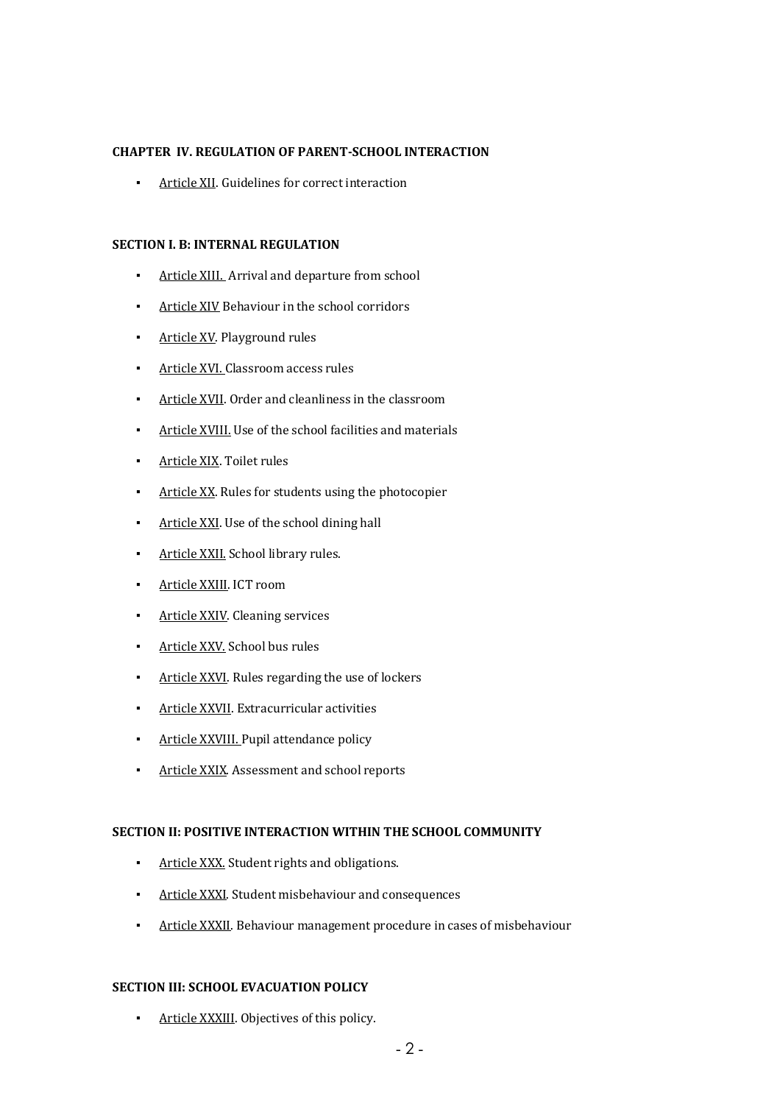#### **CHAPTER IV. REGULATION OF PARENT-SCHOOL INTERACTION**

**•** Article XII. Guidelines for correct interaction

#### **SECTION I. B: INTERNAL REGULATION**

- Article XIII. Arrival and departure from school
- **Article XIV Behaviour in the school corridors**
- **•** Article XV. Playground rules
- **•** Article XVI. Classroom access rules
- Article XVII. Order and cleanliness in the classroom
- **•** Article XVIII. Use of the school facilities and materials
- **·** Article XIX. Toilet rules
- **•** Article XX. Rules for students using the photocopier
- **•** Article XXI. Use of the school dining hall
- **·** Article XXII. School library rules.
- **•** Article XXIII. ICT room
- **•** Article XXIV. Cleaning services
- **·** Article XXV. School bus rules
- **•** Article XXVI. Rules regarding the use of lockers
- **•** Article XXVII. Extracurricular activities
- **•** Article XXVIII. Pupil attendance policy
- **·** Article XXIX. Assessment and school reports

#### **SECTION II: POSITIVE INTERACTION WITHIN THE SCHOOL COMMUNITY**

- **•** Article XXX. Student rights and obligations.
- **·** Article XXXI. Student misbehaviour and consequences
- **EXALLEX Article XXXII.** Behaviour management procedure in cases of misbehaviour

#### **SECTION III: SCHOOL EVACUATION POLICY**

**•** Article XXXIII. Objectives of this policy.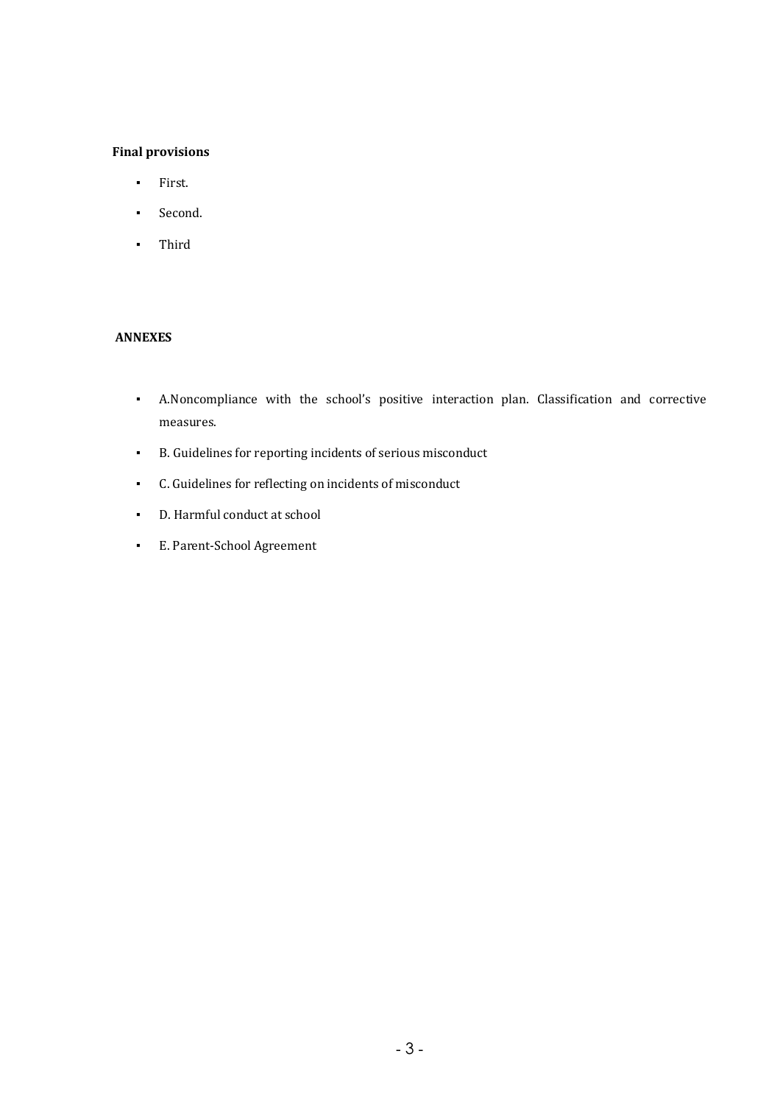#### **Final provisions**

- First.
- Second.
- Third

#### **ANNEXES**

- A.Noncompliance with the school's positive interaction plan. Classification and corrective measures.
- **•** B. Guidelines for reporting incidents of serious misconduct
- C. Guidelines for reflecting on incidents of misconduct
- D. Harmful conduct at school
- **E.** Parent-School Agreement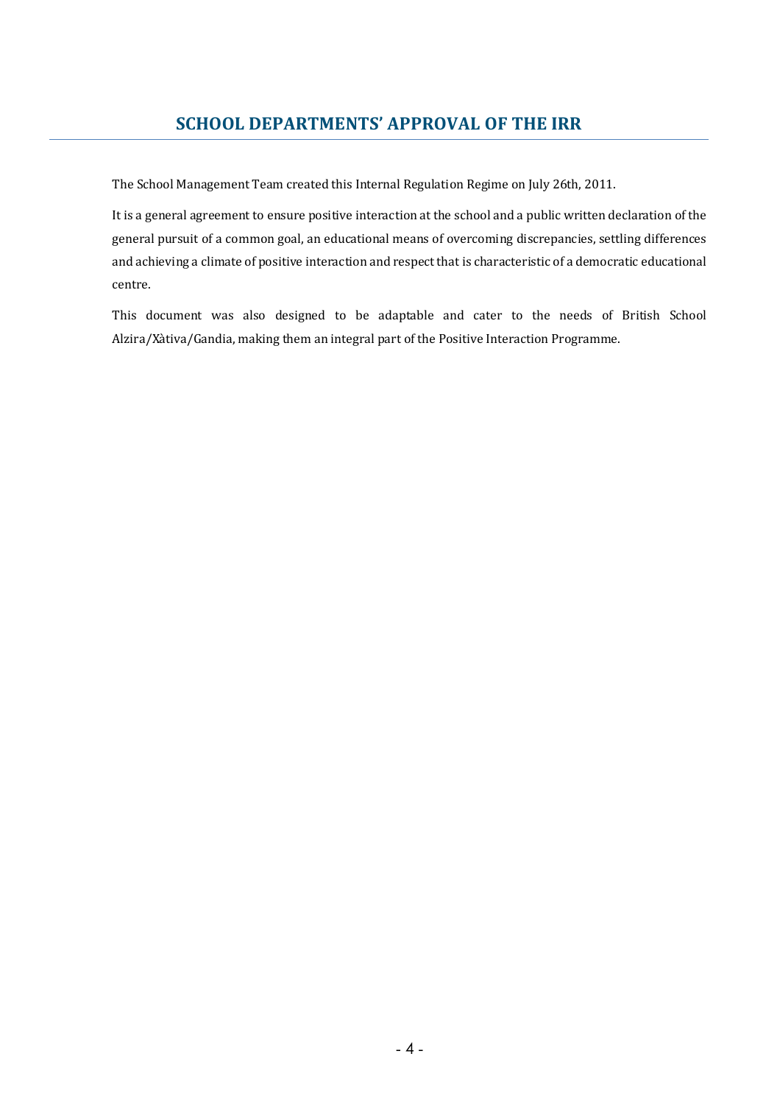### **SCHOOL DEPARTMENTS' APPROVAL OF THE IRR**

The School Management Team created this Internal Regulation Regime on July 26th, 2011.

It is a general agreement to ensure positive interaction at the school and a public written declaration of the general pursuit of a common goal, an educational means of overcoming discrepancies, settling differences and achieving a climate of positive interaction and respect that is characteristic of a democratic educational centre. 

This document was also designed to be adaptable and cater to the needs of British School Alzira/Xàtiva/Gandia, making them an integral part of the Positive Interaction Programme.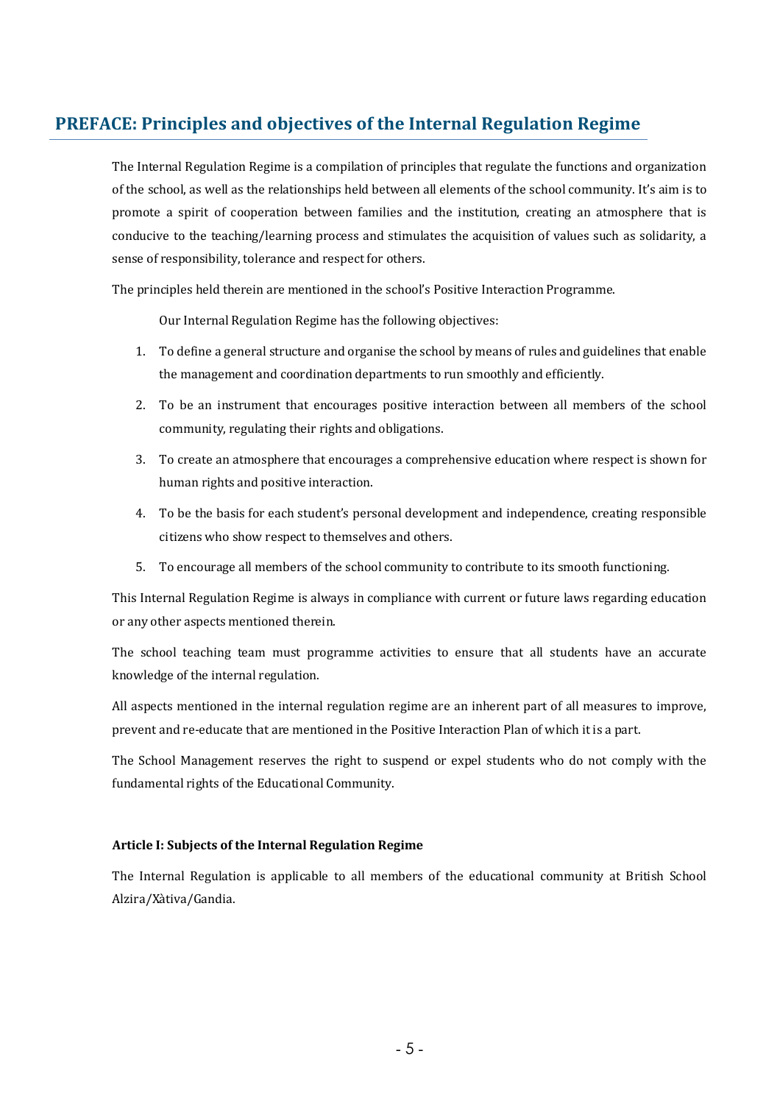### **PREFACE: Principles and objectives of the Internal Regulation Regime**

The Internal Regulation Regime is a compilation of principles that regulate the functions and organization of the school, as well as the relationships held between all elements of the school community. It's aim is to promote a spirit of cooperation between families and the institution, creating an atmosphere that is conducive to the teaching/learning process and stimulates the acquisition of values such as solidarity, a sense of responsibility, tolerance and respect for others.

The principles held therein are mentioned in the school's Positive Interaction Programme.

Our Internal Regulation Regime has the following objectives:

- 1. To define a general structure and organise the school by means of rules and guidelines that enable the management and coordination departments to run smoothly and efficiently.
- 2. To be an instrument that encourages positive interaction between all members of the school community, regulating their rights and obligations.
- 3. To create an atmosphere that encourages a comprehensive education where respect is shown for human rights and positive interaction.
- 4. To be the basis for each student's personal development and independence, creating responsible citizens who show respect to themselves and others.
- 5. To encourage all members of the school community to contribute to its smooth functioning.

This Internal Regulation Regime is always in compliance with current or future laws regarding education or any other aspects mentioned therein.

The school teaching team must programme activities to ensure that all students have an accurate knowledge of the internal regulation.

All aspects mentioned in the internal regulation regime are an inherent part of all measures to improve, prevent and re-educate that are mentioned in the Positive Interaction Plan of which it is a part.

The School Management reserves the right to suspend or expel students who do not comply with the fundamental rights of the Educational Community.

#### Article I: Subjects of the Internal Regulation Regime

The Internal Regulation is applicable to all members of the educational community at British School Alzira/Xàtiva/Gandia.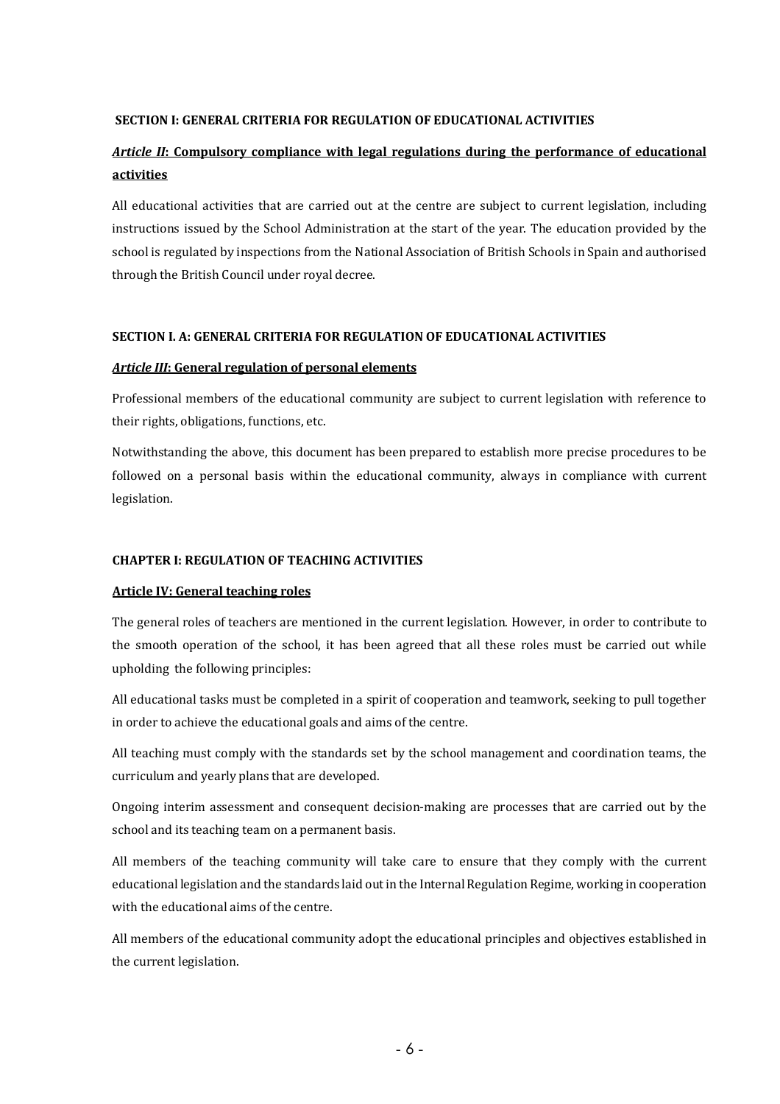#### **SECTION I: GENERAL CRITERIA FOR REGULATION OF EDUCATIONAL ACTIVITIES**

### *Article II*: Compulsory compliance with legal regulations during the performance of educational **activities**

All educational activities that are carried out at the centre are subject to current legislation, including instructions issued by the School Administration at the start of the year. The education provided by the school is regulated by inspections from the National Association of British Schools in Spain and authorised through the British Council under royal decree.

#### **SECTION I. A: GENERAL CRITERIA FOR REGULATION OF EDUCATIONAL ACTIVITIES**

#### *Article III***: General regulation of personal elements**

Professional members of the educational community are subject to current legislation with reference to their rights, obligations, functions, etc.

Notwithstanding the above, this document has been prepared to establish more precise procedures to be followed on a personal basis within the educational community, always in compliance with current legislation. 

#### **CHAPTER I: REGULATION OF TEACHING ACTIVITIES**

#### **Article IV: General teaching roles**

The general roles of teachers are mentioned in the current legislation. However, in order to contribute to the smooth operation of the school, it has been agreed that all these roles must be carried out while upholding the following principles:

All educational tasks must be completed in a spirit of cooperation and teamwork, seeking to pull together in order to achieve the educational goals and aims of the centre.

All teaching must comply with the standards set by the school management and coordination teams, the curriculum and yearly plans that are developed.

Ongoing interim assessment and consequent decision-making are processes that are carried out by the school and its teaching team on a permanent basis.

All members of the teaching community will take care to ensure that they comply with the current educational legislation and the standards laid out in the Internal Regulation Regime, working in cooperation with the educational aims of the centre.

All members of the educational community adopt the educational principles and objectives established in the current legislation.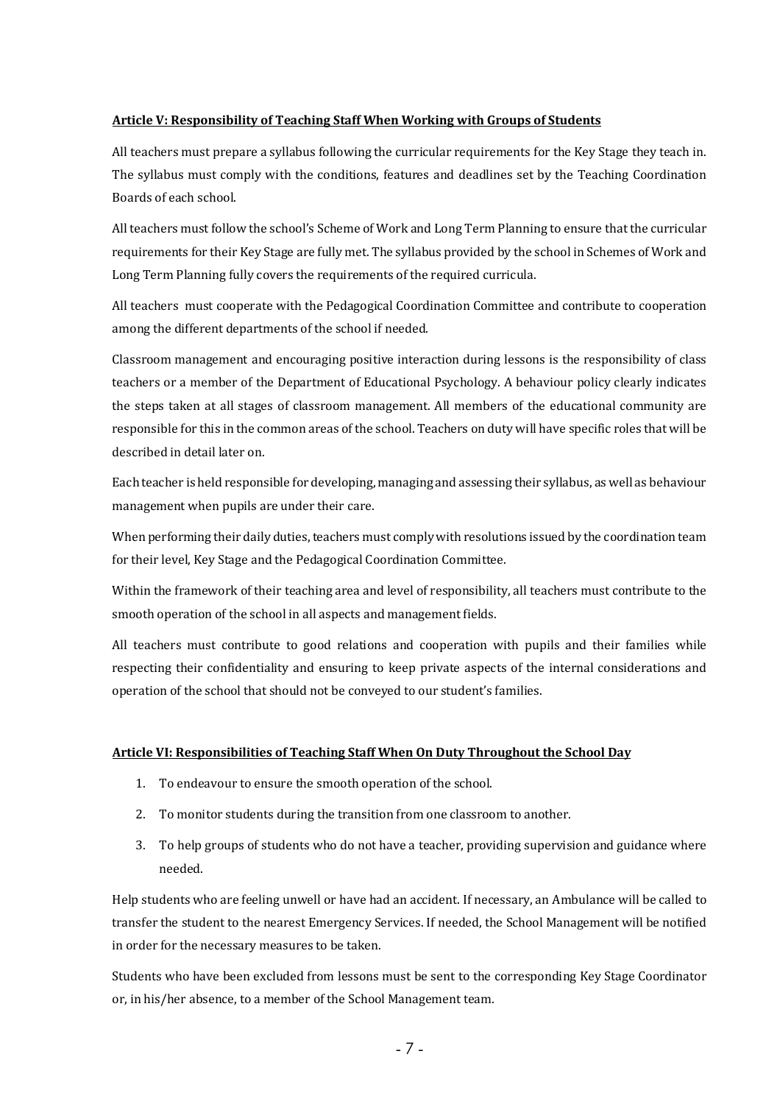#### **Article V: Responsibility of Teaching Staff When Working with Groups of Students**

All teachers must prepare a syllabus following the curricular requirements for the Key Stage they teach in. The syllabus must comply with the conditions, features and deadlines set by the Teaching Coordination Boards of each school.

All teachers must follow the school's Scheme of Work and Long Term Planning to ensure that the curricular requirements for their Key Stage are fully met. The syllabus provided by the school in Schemes of Work and Long Term Planning fully covers the requirements of the required curricula.

All teachers must cooperate with the Pedagogical Coordination Committee and contribute to cooperation among the different departments of the school if needed.

Classroom management and encouraging positive interaction during lessons is the responsibility of class teachers or a member of the Department of Educational Psychology. A behaviour policy clearly indicates the steps taken at all stages of classroom management. All members of the educational community are responsible for this in the common areas of the school. Teachers on duty will have specific roles that will be described in detail later on.

Each teacher is held responsible for developing, managing and assessing their syllabus, as well as behaviour management when pupils are under their care.

When performing their daily duties, teachers must comply with resolutions issued by the coordination team for their level, Key Stage and the Pedagogical Coordination Committee.

Within the framework of their teaching area and level of responsibility, all teachers must contribute to the smooth operation of the school in all aspects and management fields.

All teachers must contribute to good relations and cooperation with pupils and their families while respecting their confidentiality and ensuring to keep private aspects of the internal considerations and operation of the school that should not be conveyed to our student's families.

#### **Article VI: Responsibilities of Teaching Staff When On Duty Throughout the School Day**

- 1. To endeavour to ensure the smooth operation of the school.
- 2. To monitor students during the transition from one classroom to another.
- 3. To help groups of students who do not have a teacher, providing supervision and guidance where needed.

Help students who are feeling unwell or have had an accident. If necessary, an Ambulance will be called to transfer the student to the nearest Emergency Services. If needed, the School Management will be notified in order for the necessary measures to be taken.

Students who have been excluded from lessons must be sent to the corresponding Key Stage Coordinator or, in his/her absence, to a member of the School Management team.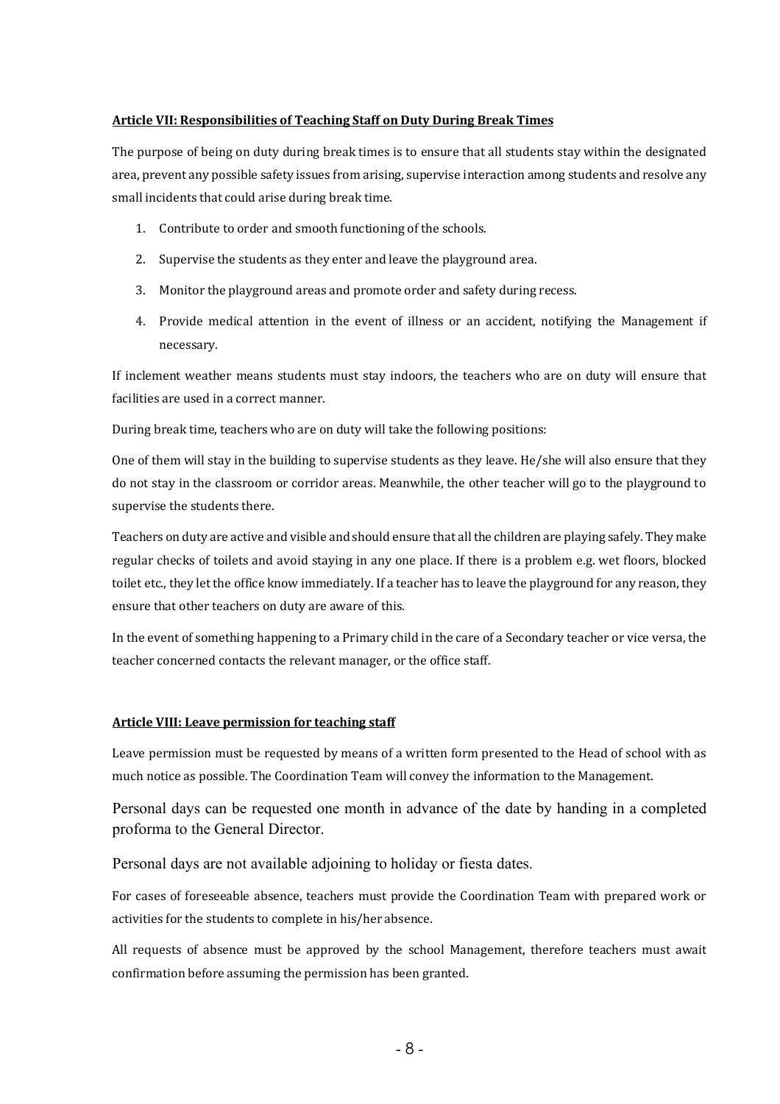#### **Article VII: Responsibilities of Teaching Staff on Duty During Break Times**

The purpose of being on duty during break times is to ensure that all students stay within the designated area, prevent any possible safety issues from arising, supervise interaction among students and resolve any small incidents that could arise during break time.

- 1. Contribute to order and smooth functioning of the schools.
- 2. Supervise the students as they enter and leave the playground area.
- 3. Monitor the playground areas and promote order and safety during recess.
- 4. Provide medical attention in the event of illness or an accident, notifying the Management if necessary.

If inclement weather means students must stay indoors, the teachers who are on duty will ensure that facilities are used in a correct manner.

During break time, teachers who are on duty will take the following positions:

One of them will stay in the building to supervise students as they leave. He/she will also ensure that they do not stay in the classroom or corridor areas. Meanwhile, the other teacher will go to the playground to supervise the students there.

Teachers on duty are active and visible and should ensure that all the children are playing safely. They make regular checks of toilets and avoid staying in any one place. If there is a problem e.g. wet floors, blocked toilet etc., they let the office know immediately. If a teacher has to leave the playground for any reason, they ensure that other teachers on duty are aware of this.

In the event of something happening to a Primary child in the care of a Secondary teacher or vice versa, the teacher concerned contacts the relevant manager, or the office staff.

#### **Article VIII: Leave permission for teaching staff**

Leave permission must be requested by means of a written form presented to the Head of school with as much notice as possible. The Coordination Team will convey the information to the Management.

Personal days can be requested one month in advance of the date by handing in a completed proforma to the General Director.

Personal days are not available adjoining to holiday or fiesta dates.

For cases of foreseeable absence, teachers must provide the Coordination Team with prepared work or activities for the students to complete in his/her absence.

All requests of absence must be approved by the school Management, therefore teachers must await confirmation before assuming the permission has been granted.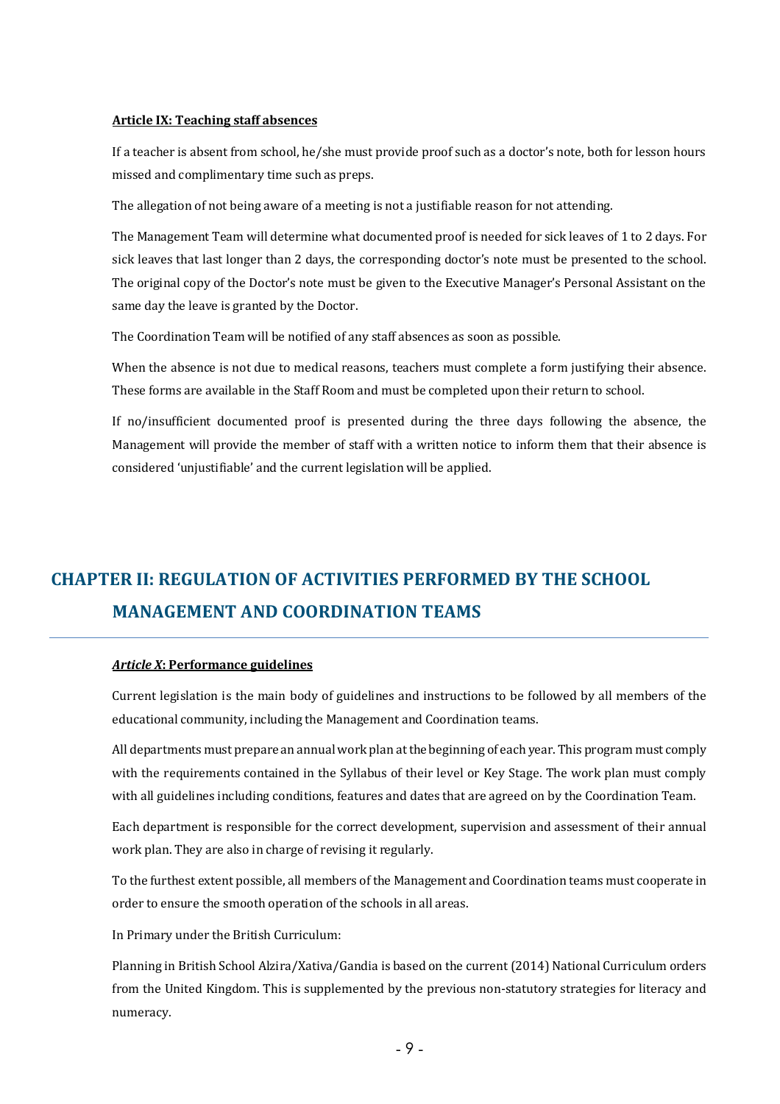#### **Article IX: Teaching staff absences**

If a teacher is absent from school, he/she must provide proof such as a doctor's note, both for lesson hours missed and complimentary time such as preps.

The allegation of not being aware of a meeting is not a justifiable reason for not attending.

The Management Team will determine what documented proof is needed for sick leaves of 1 to 2 days. For sick leaves that last longer than 2 days, the corresponding doctor's note must be presented to the school. The original copy of the Doctor's note must be given to the Executive Manager's Personal Assistant on the same day the leave is granted by the Doctor.

The Coordination Team will be notified of any staff absences as soon as possible.

When the absence is not due to medical reasons, teachers must complete a form justifying their absence. These forms are available in the Staff Room and must be completed upon their return to school.

If no/insufficient documented proof is presented during the three days following the absence, the Management will provide the member of staff with a written notice to inform them that their absence is considered 'unjustifiable' and the current legislation will be applied.

## **CHAPTER II: REGULATION OF ACTIVITIES PERFORMED BY THE SCHOOL MANAGEMENT AND COORDINATION TEAMS**

#### *Article X***: Performance guidelines**

Current legislation is the main body of guidelines and instructions to be followed by all members of the educational community, including the Management and Coordination teams.

All departments must prepare an annual work plan at the beginning of each year. This program must comply with the requirements contained in the Syllabus of their level or Key Stage. The work plan must comply with all guidelines including conditions, features and dates that are agreed on by the Coordination Team.

Each department is responsible for the correct development, supervision and assessment of their annual work plan. They are also in charge of revising it regularly.

To the furthest extent possible, all members of the Management and Coordination teams must cooperate in order to ensure the smooth operation of the schools in all areas.

In Primary under the British Curriculum:

Planning in British School Alzira/Xativa/Gandia is based on the current (2014) National Curriculum orders from the United Kingdom. This is supplemented by the previous non-statutory strategies for literacy and numeracy.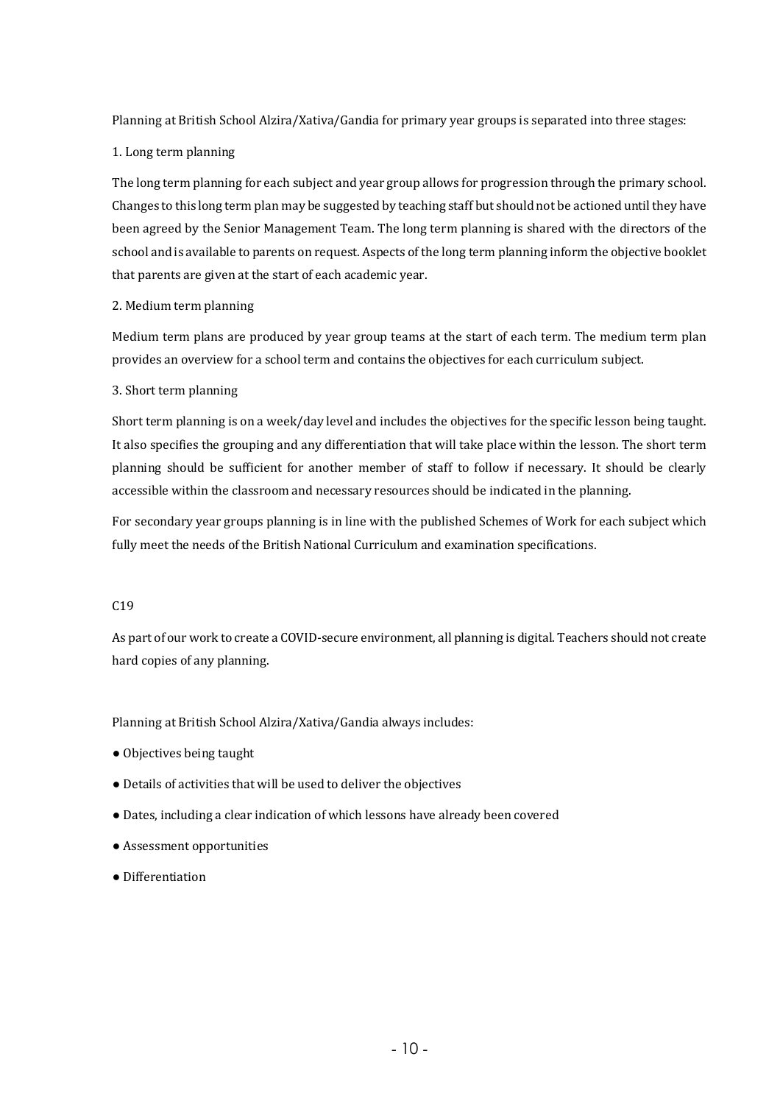Planning at British School Alzira/Xativa/Gandia for primary year groups is separated into three stages:

#### 1. Long term planning

The long term planning for each subject and year group allows for progression through the primary school. Changes to this long term plan may be suggested by teaching staff but should not be actioned until they have been agreed by the Senior Management Team. The long term planning is shared with the directors of the school and is available to parents on request. Aspects of the long term planning inform the objective booklet that parents are given at the start of each academic year.

#### 2. Medium term planning

Medium term plans are produced by year group teams at the start of each term. The medium term plan provides an overview for a school term and contains the objectives for each curriculum subject.

#### 3. Short term planning

Short term planning is on a week/day level and includes the objectives for the specific lesson being taught. It also specifies the grouping and any differentiation that will take place within the lesson. The short term planning should be sufficient for another member of staff to follow if necessary. It should be clearly accessible within the classroom and necessary resources should be indicated in the planning.

For secondary year groups planning is in line with the published Schemes of Work for each subject which fully meet the needs of the British National Curriculum and examination specifications.

#### C19

As part of our work to create a COVID-secure environment, all planning is digital. Teachers should not create hard copies of any planning.

Planning at British School Alzira/Xativa/Gandia always includes:

- Objectives being taught
- $\bullet$  Details of activities that will be used to deliver the objectives
- Dates, including a clear indication of which lessons have already been covered
- Assessment opportunities
- Differentiation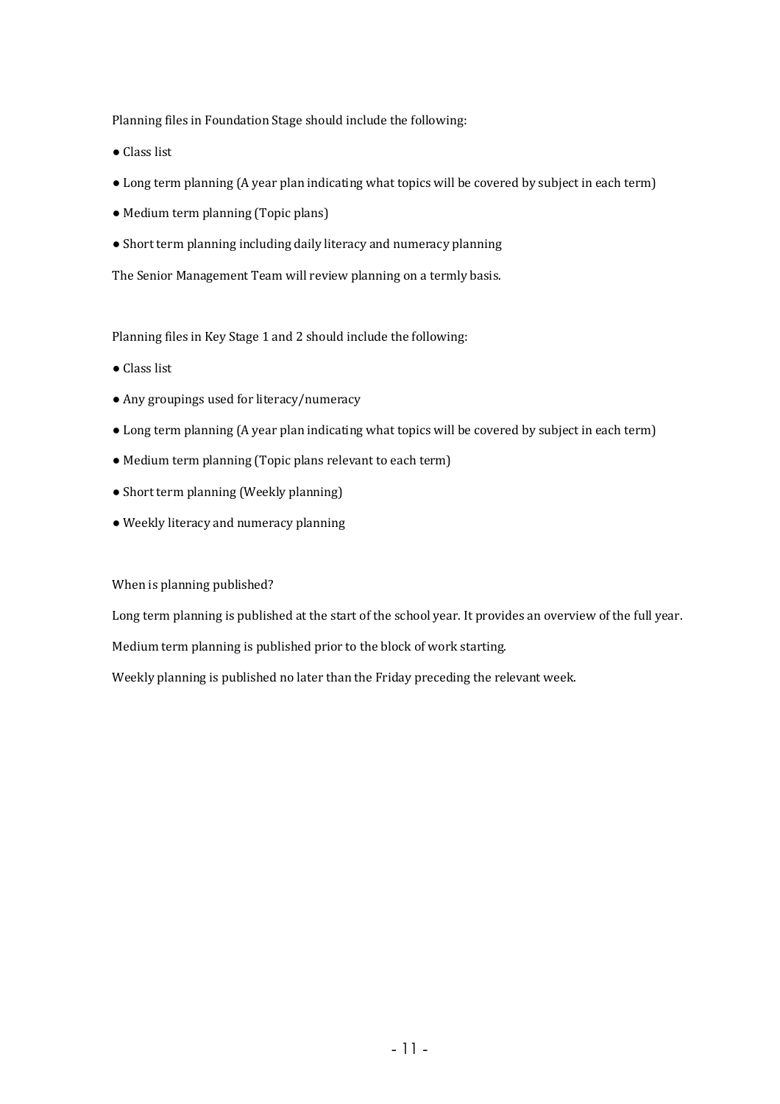Planning files in Foundation Stage should include the following:

- Class list
- Long term planning (A year plan indicating what topics will be covered by subject in each term)
- Medium term planning (Topic plans)
- Short term planning including daily literacy and numeracy planning

The Senior Management Team will review planning on a termly basis.

Planning files in Key Stage 1 and 2 should include the following:

- Class list
- Any groupings used for literacy/numeracy
- Long term planning (A year plan indicating what topics will be covered by subject in each term)
- Medium term planning (Topic plans relevant to each term)
- Short term planning (Weekly planning)
- Weekly literacy and numeracy planning

When is planning published?

Long term planning is published at the start of the school year. It provides an overview of the full year.

Medium term planning is published prior to the block of work starting.

Weekly planning is published no later than the Friday preceding the relevant week.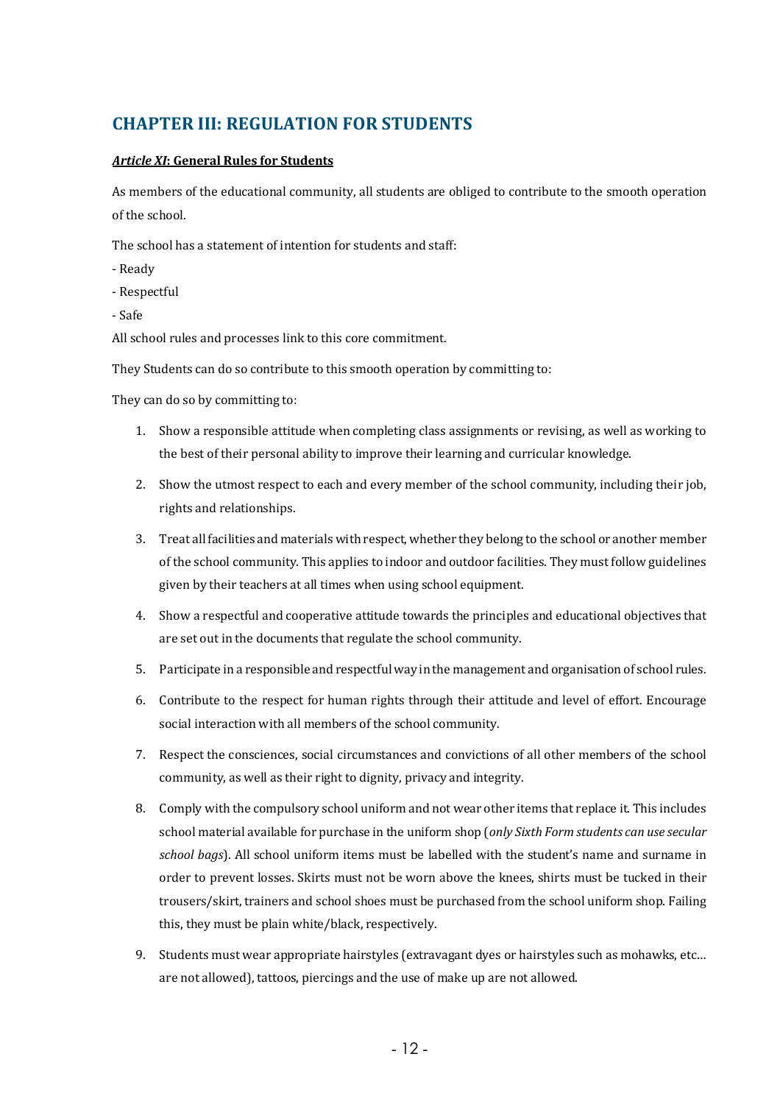### **CHAPTER III: REGULATION FOR STUDENTS**

#### **Article XI: General Rules for Students**

As members of the educational community, all students are obliged to contribute to the smooth operation of the school.

The school has a statement of intention for students and staff:

- Ready
- Respectful
- Safe

All school rules and processes link to this core commitment.

They Students can do so contribute to this smooth operation by committing to:

They can do so by committing to:

- 1. Show a responsible attitude when completing class assignments or revising, as well as working to the best of their personal ability to improve their learning and curricular knowledge.
- 2. Show the utmost respect to each and every member of the school community, including their job, rights and relationships.
- 3. Treat all facilities and materials with respect, whether they belong to the school or another member of the school community. This applies to indoor and outdoor facilities. They must follow guidelines given by their teachers at all times when using school equipment.
- 4. Show a respectful and cooperative attitude towards the principles and educational objectives that are set out in the documents that regulate the school community.
- 5. Participate in a responsible and respectful way in the management and organisation of school rules.
- 6. Contribute to the respect for human rights through their attitude and level of effort. Encourage social interaction with all members of the school community.
- 7. Respect the consciences, social circumstances and convictions of all other members of the school community, as well as their right to dignity, privacy and integrity.
- 8. Comply with the compulsory school uniform and not wear other items that replace it. This includes school material available for purchase in the uniform shop (only Sixth Form students can use secular school bags). All school uniform items must be labelled with the student's name and surname in order to prevent losses. Skirts must not be worn above the knees, shirts must be tucked in their trousers/skirt, trainers and school shoes must be purchased from the school uniform shop. Failing this, they must be plain white/black, respectively.
- 9. Students must wear appropriate hairstyles (extravagant dyes or hairstyles such as mohawks, etc... are not allowed), tattoos, piercings and the use of make up are not allowed.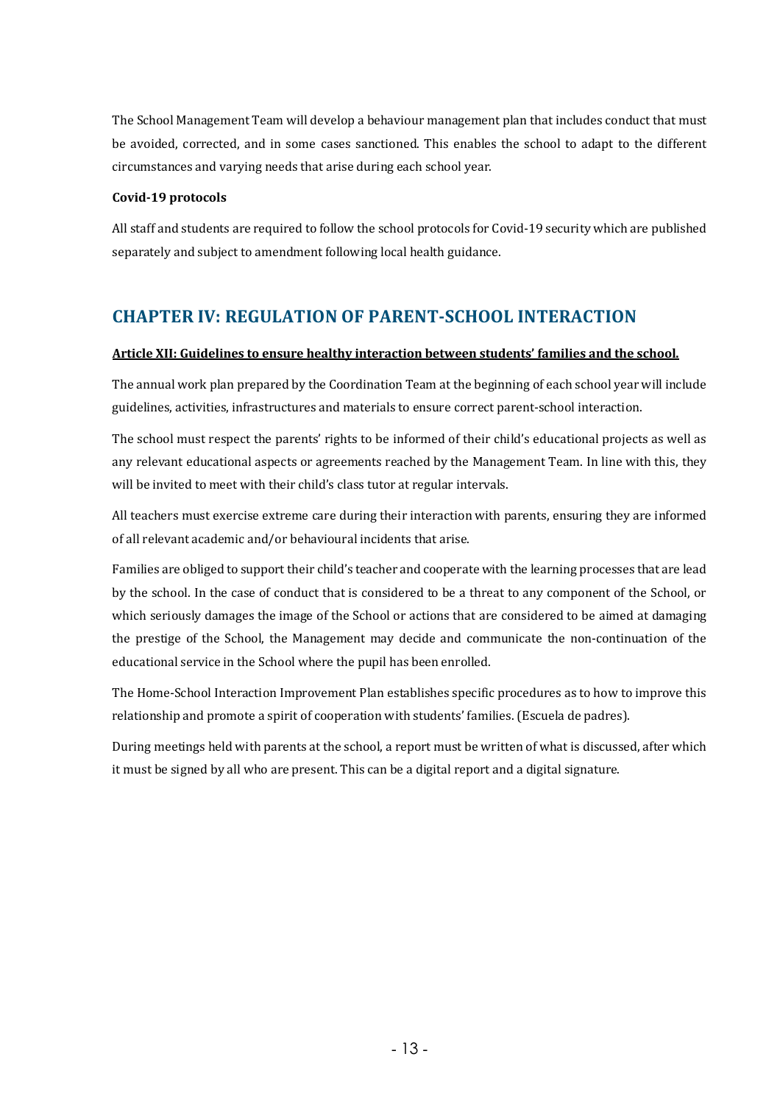The School Management Team will develop a behaviour management plan that includes conduct that must be avoided, corrected, and in some cases sanctioned. This enables the school to adapt to the different circumstances and varying needs that arise during each school year.

#### **Covid-19 protocols**

All staff and students are required to follow the school protocols for Covid-19 security which are published separately and subject to amendment following local health guidance.

### **CHAPTER IV: REGULATION OF PARENT-SCHOOL INTERACTION**

#### Article XII: Guidelines to ensure healthy interaction between students' families and the school.

The annual work plan prepared by the Coordination Team at the beginning of each school year will include guidelines, activities, infrastructures and materials to ensure correct parent-school interaction.

The school must respect the parents' rights to be informed of their child's educational projects as well as any relevant educational aspects or agreements reached by the Management Team. In line with this, they will be invited to meet with their child's class tutor at regular intervals.

All teachers must exercise extreme care during their interaction with parents, ensuring they are informed of all relevant academic and/or behavioural incidents that arise.

Families are obliged to support their child's teacher and cooperate with the learning processes that are lead by the school. In the case of conduct that is considered to be a threat to any component of the School, or which seriously damages the image of the School or actions that are considered to be aimed at damaging the prestige of the School, the Management may decide and communicate the non-continuation of the educational service in the School where the pupil has been enrolled.

The Home-School Interaction Improvement Plan establishes specific procedures as to how to improve this relationship and promote a spirit of cooperation with students' families. (Escuela de padres).

During meetings held with parents at the school, a report must be written of what is discussed, after which it must be signed by all who are present. This can be a digital report and a digital signature.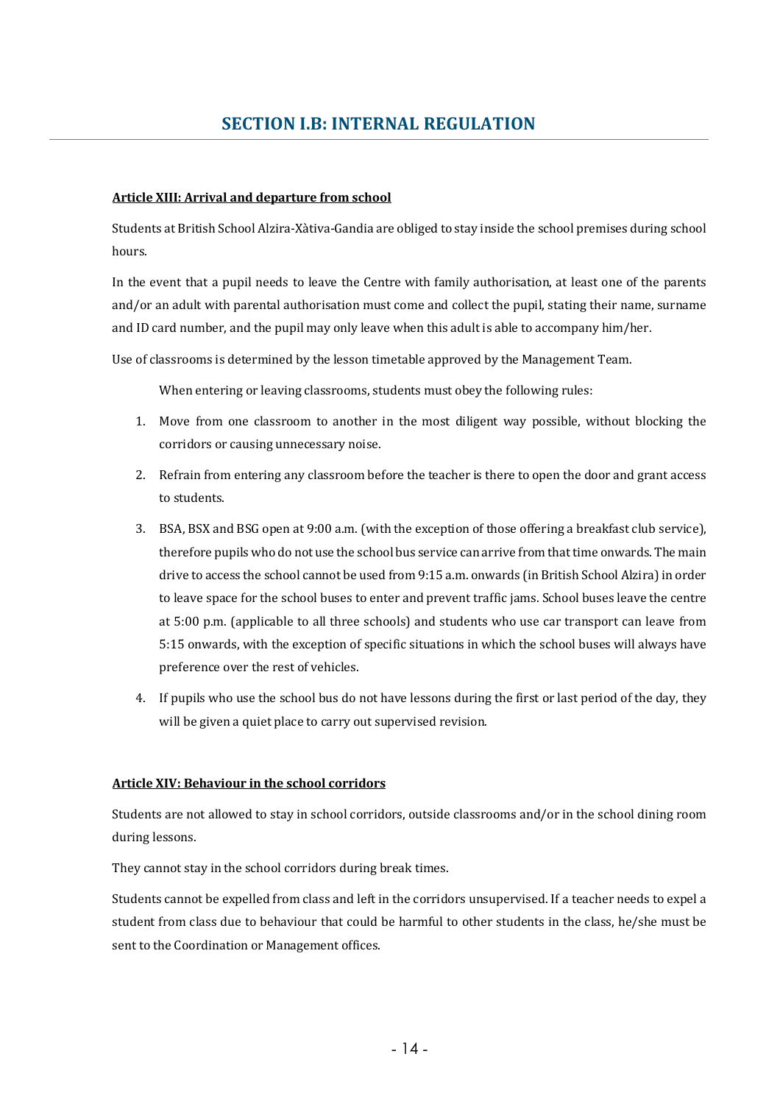#### **Article XIII: Arrival and departure from school**

Students at British School Alzira-Xàtiva-Gandia are obliged to stay inside the school premises during school hours. 

In the event that a pupil needs to leave the Centre with family authorisation, at least one of the parents and/or an adult with parental authorisation must come and collect the pupil, stating their name, surname and ID card number, and the pupil may only leave when this adult is able to accompany him/her.

Use of classrooms is determined by the lesson timetable approved by the Management Team.

When entering or leaving classrooms, students must obey the following rules:

- 1. Move from one classroom to another in the most diligent way possible, without blocking the corridors or causing unnecessary noise.
- 2. Refrain from entering any classroom before the teacher is there to open the door and grant access to students.
- 3. BSA, BSX and BSG open at 9:00 a.m. (with the exception of those offering a breakfast club service), therefore pupils who do not use the school bus service can arrive from that time onwards. The main drive to access the school cannot be used from 9:15 a.m. onwards (in British School Alzira) in order to leave space for the school buses to enter and prevent traffic jams. School buses leave the centre at 5:00 p.m. (applicable to all three schools) and students who use car transport can leave from 5:15 onwards, with the exception of specific situations in which the school buses will always have preference over the rest of vehicles.
- 4. If pupils who use the school bus do not have lessons during the first or last period of the day, they will be given a quiet place to carry out supervised revision.

#### Article XIV: Behaviour in the school corridors

Students are not allowed to stay in school corridors, outside classrooms and/or in the school dining room during lessons.

They cannot stay in the school corridors during break times.

Students cannot be expelled from class and left in the corridors unsupervised. If a teacher needs to expel a student from class due to behaviour that could be harmful to other students in the class, he/she must be sent to the Coordination or Management offices.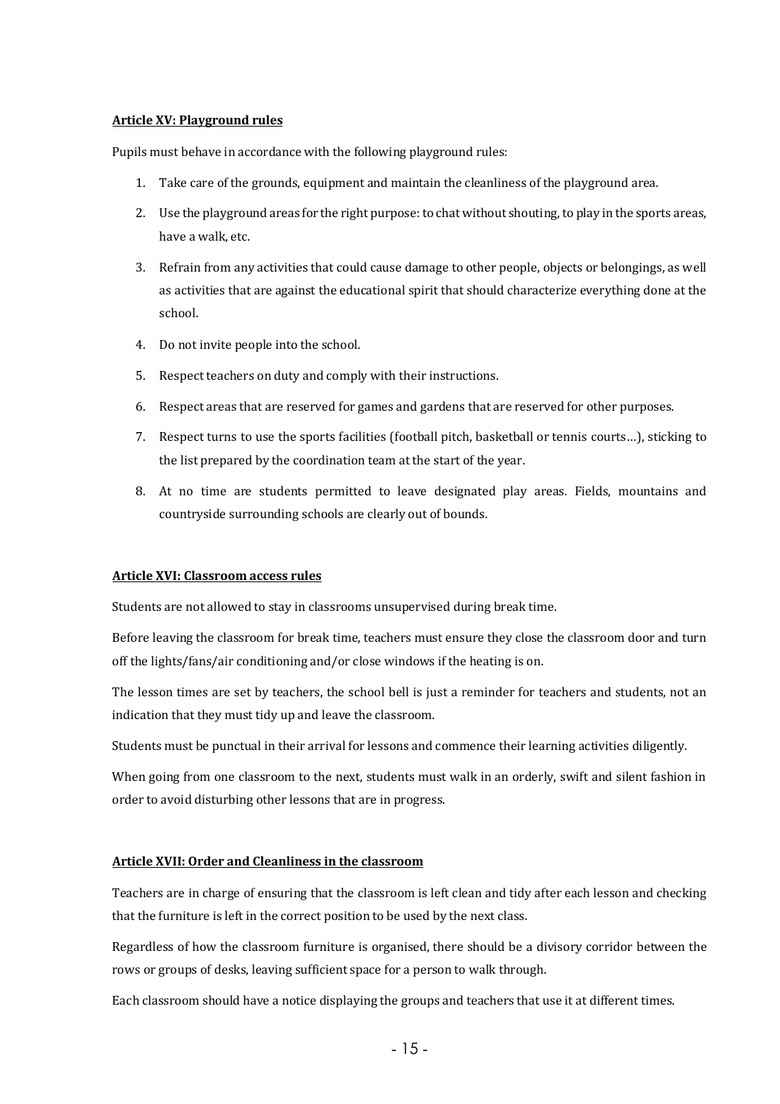#### **Article XV: Playground rules**

Pupils must behave in accordance with the following playground rules:

- 1. Take care of the grounds, equipment and maintain the cleanliness of the playground area.
- 2. Use the playground areas for the right purpose: to chat without shouting, to play in the sports areas, have a walk, etc.
- 3. Refrain from any activities that could cause damage to other people, objects or belongings, as well as activities that are against the educational spirit that should characterize everything done at the school.
- 4. Do not invite people into the school.
- 5. Respect teachers on duty and comply with their instructions.
- 6. Respect areas that are reserved for games and gardens that are reserved for other purposes.
- 7. Respect turns to use the sports facilities (football pitch, basketball or tennis courts...), sticking to the list prepared by the coordination team at the start of the year.
- 8. At no time are students permitted to leave designated play areas. Fields, mountains and countryside surrounding schools are clearly out of bounds.

#### **Article XVI: Classroom access rules**

Students are not allowed to stay in classrooms unsupervised during break time.

Before leaving the classroom for break time, teachers must ensure they close the classroom door and turn off the lights/fans/air conditioning and/or close windows if the heating is on.

The lesson times are set by teachers, the school bell is just a reminder for teachers and students, not an indication that they must tidy up and leave the classroom.

Students must be punctual in their arrival for lessons and commence their learning activities diligently.

When going from one classroom to the next, students must walk in an orderly, swift and silent fashion in order to avoid disturbing other lessons that are in progress.

#### **Article XVII: Order and Cleanliness in the classroom**

Teachers are in charge of ensuring that the classroom is left clean and tidy after each lesson and checking that the furniture is left in the correct position to be used by the next class.

Regardless of how the classroom furniture is organised, there should be a divisory corridor between the rows or groups of desks, leaving sufficient space for a person to walk through.

Each classroom should have a notice displaying the groups and teachers that use it at different times.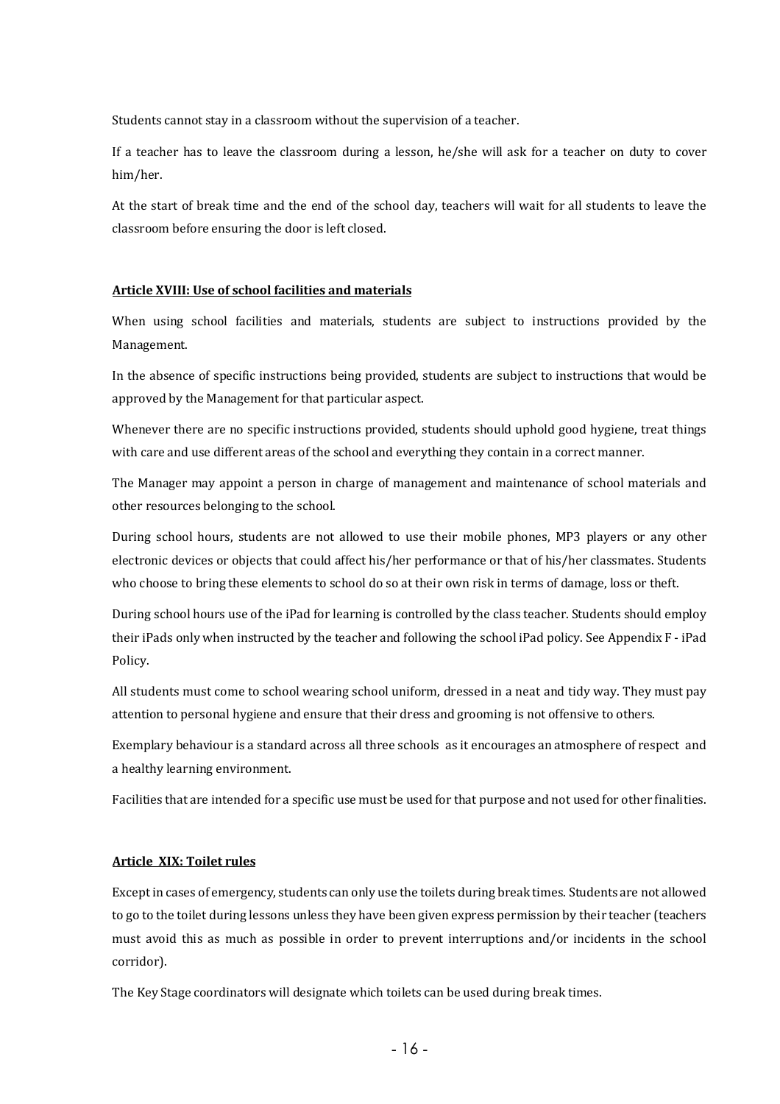Students cannot stay in a classroom without the supervision of a teacher.

If a teacher has to leave the classroom during a lesson, he/she will ask for a teacher on duty to cover him/her. 

At the start of break time and the end of the school day, teachers will wait for all students to leave the classroom before ensuring the door is left closed.

#### **Article XVIII: Use of school facilities and materials**

When using school facilities and materials, students are subject to instructions provided by the Management. 

In the absence of specific instructions being provided, students are subject to instructions that would be approved by the Management for that particular aspect.

Whenever there are no specific instructions provided, students should uphold good hygiene, treat things with care and use different areas of the school and everything they contain in a correct manner.

The Manager may appoint a person in charge of management and maintenance of school materials and other resources belonging to the school.

During school hours, students are not allowed to use their mobile phones, MP3 players or any other electronic devices or objects that could affect his/her performance or that of his/her classmates. Students who choose to bring these elements to school do so at their own risk in terms of damage, loss or theft.

During school hours use of the iPad for learning is controlled by the class teacher. Students should employ their iPads only when instructed by the teacher and following the school iPad policy. See Appendix F - iPad Policy.

All students must come to school wearing school uniform, dressed in a neat and tidy way. They must pay attention to personal hygiene and ensure that their dress and grooming is not offensive to others.

Exemplary behaviour is a standard across all three schools as it encourages an atmosphere of respect and a healthy learning environment.

Facilities that are intended for a specific use must be used for that purpose and not used for other finalities.

#### **Article XIX: Toilet rules**

Except in cases of emergency, students can only use the toilets during break times. Students are not allowed to go to the toilet during lessons unless they have been given express permission by their teacher (teachers must avoid this as much as possible in order to prevent interruptions and/or incidents in the school corridor). 

The Key Stage coordinators will designate which toilets can be used during break times.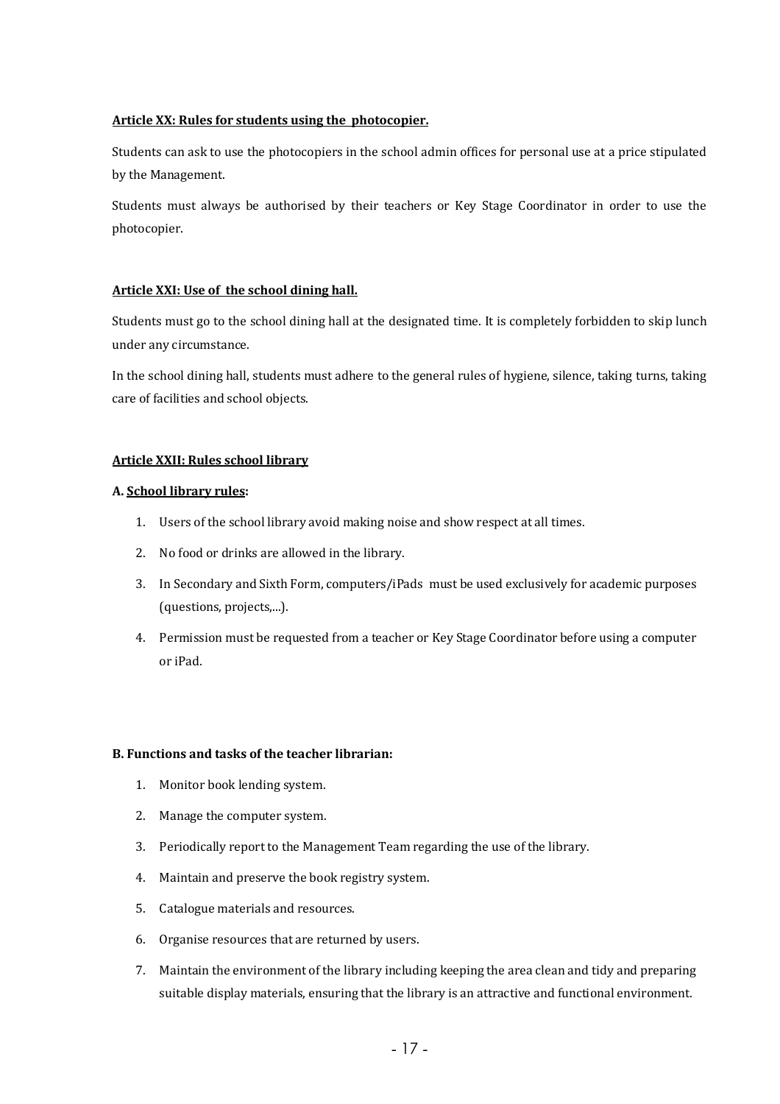#### Article XX: Rules for students using the photocopier.

Students can ask to use the photocopiers in the school admin offices for personal use at a price stipulated by the Management.

Students must always be authorised by their teachers or Key Stage Coordinator in order to use the photocopier. 

#### Article XXI: Use of the school dining hall.

Students must go to the school dining hall at the designated time. It is completely forbidden to skip lunch under any circumstance.

In the school dining hall, students must adhere to the general rules of hygiene, silence, taking turns, taking care of facilities and school objects.

#### **Article XXII: Rules school library**

#### **A. School library rules:**

- 1. Users of the school library avoid making noise and show respect at all times.
- 2. No food or drinks are allowed in the library.
- 3. In Secondary and Sixth Form, computers/iPads must be used exclusively for academic purposes (questions, projects,...).
- 4. Permission must be requested from a teacher or Key Stage Coordinator before using a computer or iPad.

#### **B. Functions and tasks of the teacher librarian:**

- 1. Monitor book lending system.
- 2. Manage the computer system.
- 3. Periodically report to the Management Team regarding the use of the library.
- 4. Maintain and preserve the book registry system.
- 5. Catalogue materials and resources.
- 6. Organise resources that are returned by users.
- 7. Maintain the environment of the library including keeping the area clean and tidy and preparing suitable display materials, ensuring that the library is an attractive and functional environment.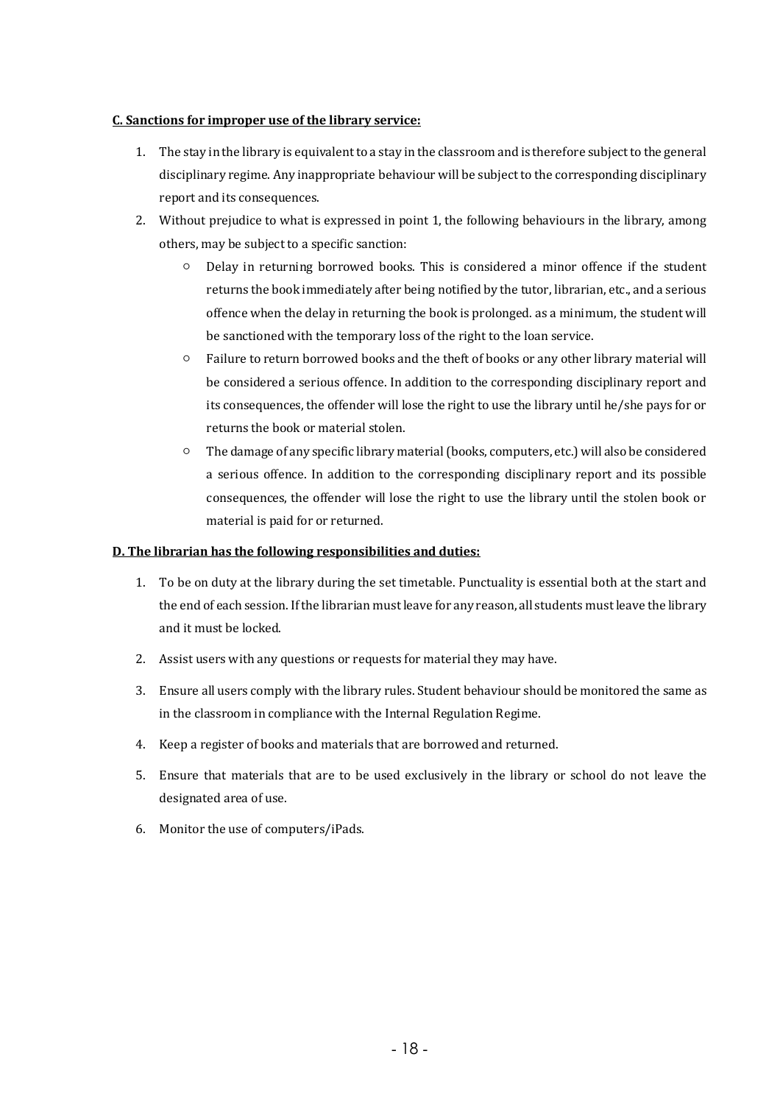#### **C.** Sanctions for improper use of the library service:

- 1. The stay in the library is equivalent to a stay in the classroom and is therefore subject to the general disciplinary regime. Any inappropriate behaviour will be subject to the corresponding disciplinary report and its consequences.
- 2. Without prejudice to what is expressed in point 1, the following behaviours in the library, among others, may be subject to a specific sanction:
	- $\circ$  Delay in returning borrowed books. This is considered a minor offence if the student returns the book immediately after being notified by the tutor, librarian, etc., and a serious offence when the delay in returning the book is prolonged, as a minimum, the student will be sanctioned with the temporary loss of the right to the loan service.
	- Failure to return borrowed books and the theft of books or any other library material will be considered a serious offence. In addition to the corresponding disciplinary report and its consequences, the offender will lose the right to use the library until he/she pays for or returns the book or material stolen.
	- $\circ$  The damage of any specific library material (books, computers, etc.) will also be considered a serious offence. In addition to the corresponding disciplinary report and its possible consequences, the offender will lose the right to use the library until the stolen book or material is paid for or returned.

#### **D.** The librarian has the following responsibilities and duties:

- 1. To be on duty at the library during the set timetable. Punctuality is essential both at the start and the end of each session. If the librarian must leave for any reason, all students must leave the library and it must be locked.
- 2. Assist users with any questions or requests for material they may have.
- 3. Ensure all users comply with the library rules. Student behaviour should be monitored the same as in the classroom in compliance with the Internal Regulation Regime.
- 4. Keep a register of books and materials that are borrowed and returned.
- 5. Ensure that materials that are to be used exclusively in the library or school do not leave the designated area of use.
- 6. Monitor the use of computers/iPads.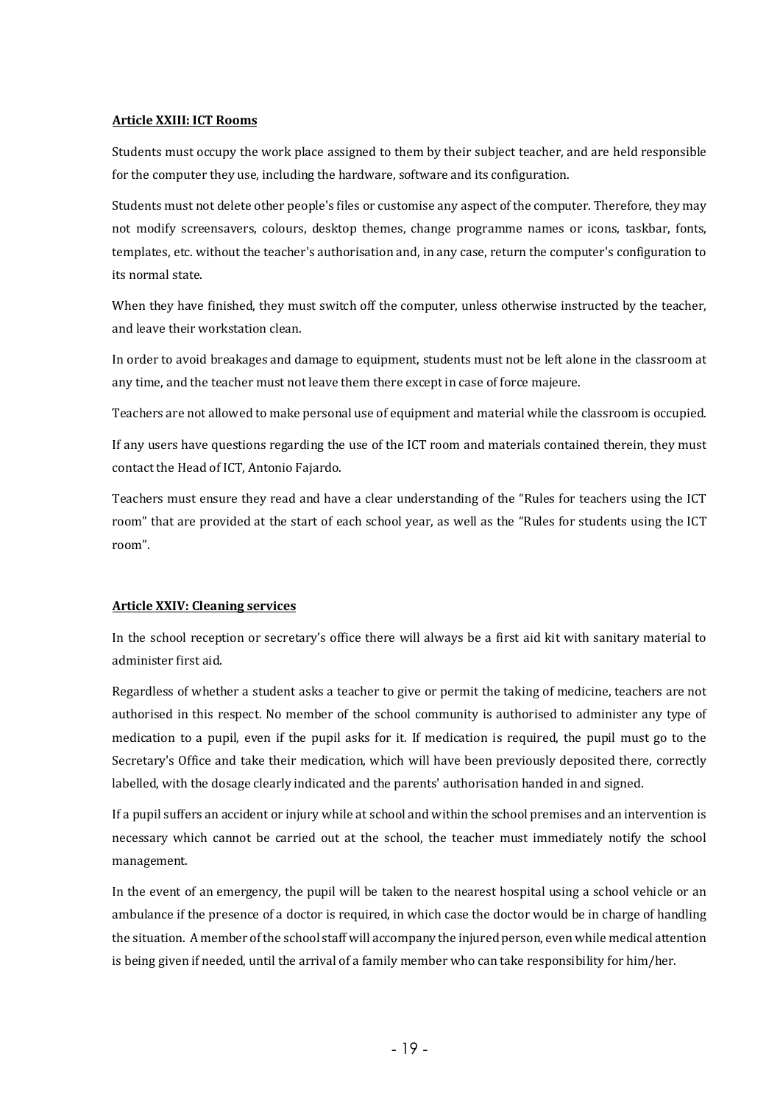#### **Article XXIII: ICT Rooms**

Students must occupy the work place assigned to them by their subject teacher, and are held responsible for the computer they use, including the hardware, software and its configuration.

Students must not delete other people's files or customise any aspect of the computer. Therefore, they may not modify screensavers, colours, desktop themes, change programme names or icons, taskbar, fonts, templates, etc. without the teacher's authorisation and, in any case, return the computer's configuration to its normal state.

When they have finished, they must switch off the computer, unless otherwise instructed by the teacher, and leave their workstation clean.

In order to avoid breakages and damage to equipment, students must not be left alone in the classroom at any time, and the teacher must not leave them there except in case of force majeure.

Teachers are not allowed to make personal use of equipment and material while the classroom is occupied.

If any users have questions regarding the use of the ICT room and materials contained therein, they must contact the Head of ICT, Antonio Fajardo.

Teachers must ensure they read and have a clear understanding of the "Rules for teachers using the ICT room" that are provided at the start of each school year, as well as the "Rules for students using the ICT room". 

#### **Article XXIV: Cleaning services**

In the school reception or secretary's office there will always be a first aid kit with sanitary material to administer first aid.

Regardless of whether a student asks a teacher to give or permit the taking of medicine, teachers are not authorised in this respect. No member of the school community is authorised to administer any type of medication to a pupil, even if the pupil asks for it. If medication is required, the pupil must go to the Secretary's Office and take their medication, which will have been previously deposited there, correctly labelled, with the dosage clearly indicated and the parents' authorisation handed in and signed.

If a pupil suffers an accident or injury while at school and within the school premises and an intervention is necessary which cannot be carried out at the school, the teacher must immediately notify the school management.

In the event of an emergency, the pupil will be taken to the nearest hospital using a school vehicle or an ambulance if the presence of a doctor is required, in which case the doctor would be in charge of handling the situation. A member of the school staff will accompany the injured person, even while medical attention is being given if needed, until the arrival of a family member who can take responsibility for him/her.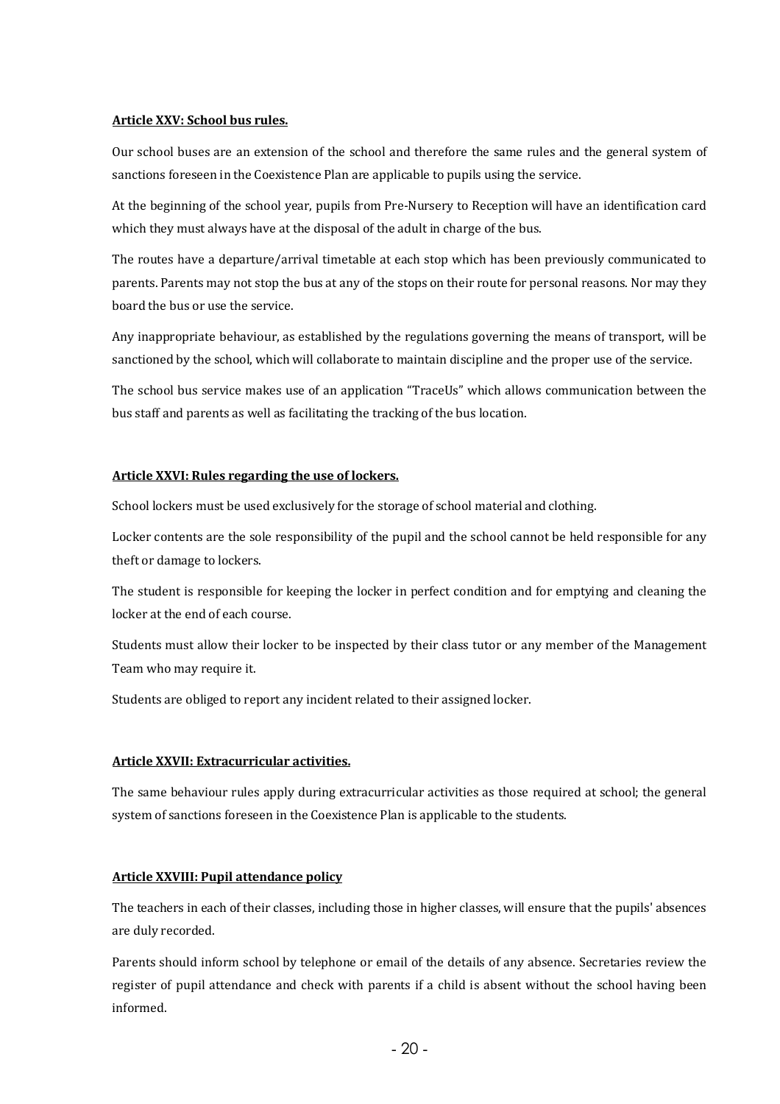#### **Article XXV: School bus rules.**

Our school buses are an extension of the school and therefore the same rules and the general system of sanctions foreseen in the Coexistence Plan are applicable to pupils using the service.

At the beginning of the school year, pupils from Pre-Nursery to Reception will have an identification card which they must always have at the disposal of the adult in charge of the bus.

The routes have a departure/arrival timetable at each stop which has been previously communicated to parents. Parents may not stop the bus at any of the stops on their route for personal reasons. Nor may they board the bus or use the service.

Any inappropriate behaviour, as established by the regulations governing the means of transport, will be sanctioned by the school, which will collaborate to maintain discipline and the proper use of the service.

The school bus service makes use of an application "TraceUs" which allows communication between the bus staff and parents as well as facilitating the tracking of the bus location.

#### **Article XXVI: Rules regarding the use of lockers.**

School lockers must be used exclusively for the storage of school material and clothing.

Locker contents are the sole responsibility of the pupil and the school cannot be held responsible for any theft or damage to lockers.

The student is responsible for keeping the locker in perfect condition and for emptying and cleaning the locker at the end of each course.

Students must allow their locker to be inspected by their class tutor or any member of the Management Team who may require it.

Students are obliged to report any incident related to their assigned locker.

#### **Article XXVII: Extracurricular activities.**

The same behaviour rules apply during extracurricular activities as those required at school; the general system of sanctions foreseen in the Coexistence Plan is applicable to the students.

#### **Article XXVIII: Pupil attendance policy**

The teachers in each of their classes, including those in higher classes, will ensure that the pupils' absences are duly recorded.

Parents should inform school by telephone or email of the details of any absence. Secretaries review the register of pupil attendance and check with parents if a child is absent without the school having been informed.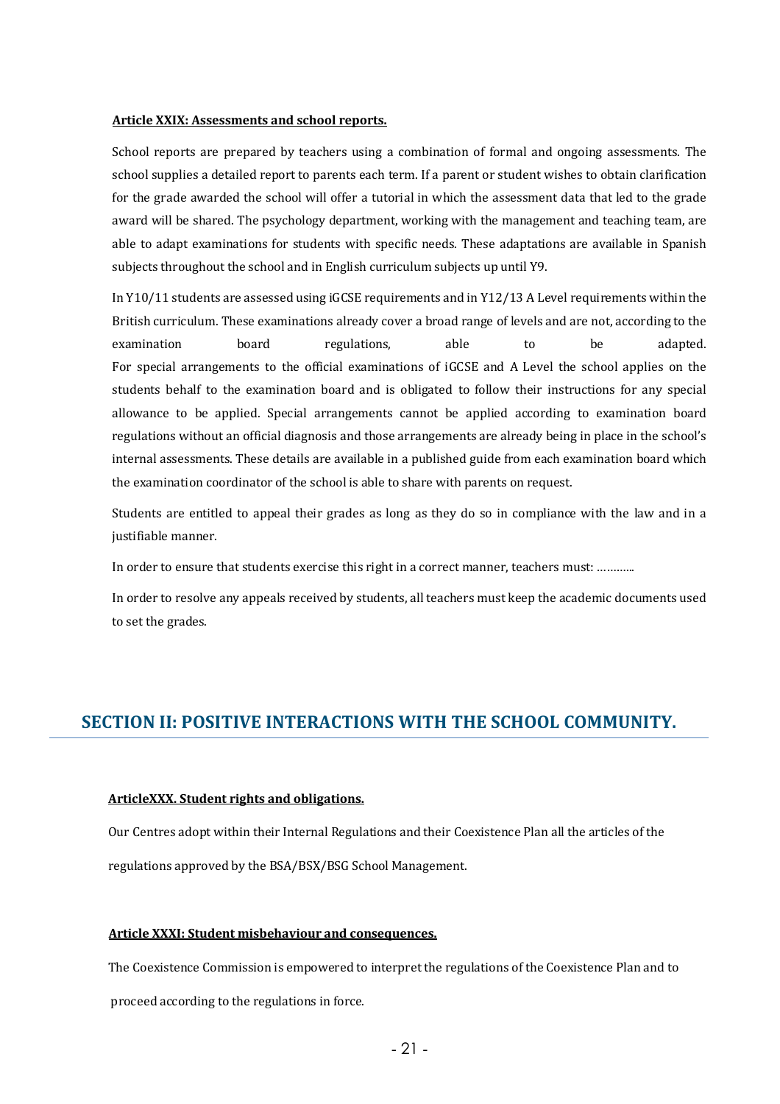#### **Article XXIX: Assessments and school reports.**

School reports are prepared by teachers using a combination of formal and ongoing assessments. The school supplies a detailed report to parents each term. If a parent or student wishes to obtain clarification for the grade awarded the school will offer a tutorial in which the assessment data that led to the grade award will be shared. The psychology department, working with the management and teaching team, are able to adapt examinations for students with specific needs. These adaptations are available in Spanish subjects throughout the school and in English curriculum subjects up until Y9.

In  $Y10/11$  students are assessed using iGCSE requirements and in  $Y12/13$  A Level requirements within the British curriculum. These examinations already cover a broad range of levels and are not, according to the examination board regulations. able to be adapted. For special arrangements to the official examinations of iGCSE and A Level the school applies on the students behalf to the examination board and is obligated to follow their instructions for any special allowance to be applied. Special arrangements cannot be applied according to examination board regulations without an official diagnosis and those arrangements are already being in place in the school's internal assessments. These details are available in a published guide from each examination board which the examination coordinator of the school is able to share with parents on request.

Students are entitled to appeal their grades as long as they do so in compliance with the law and in a justifiable manner.

In order to ensure that students exercise this right in a correct manner, teachers must: ............

In order to resolve any appeals received by students, all teachers must keep the academic documents used to set the grades.

### **SECTION II: POSITIVE INTERACTIONS WITH THE SCHOOL COMMUNITY.**

#### ArticleXXX. Student rights and obligations.

Our Centres adopt within their Internal Regulations and their Coexistence Plan all the articles of the regulations approved by the BSA/BSX/BSG School Management.

#### **Article XXXI: Student misbehaviour and consequences.**

The Coexistence Commission is empowered to interpret the regulations of the Coexistence Plan and to

proceed according to the regulations in force.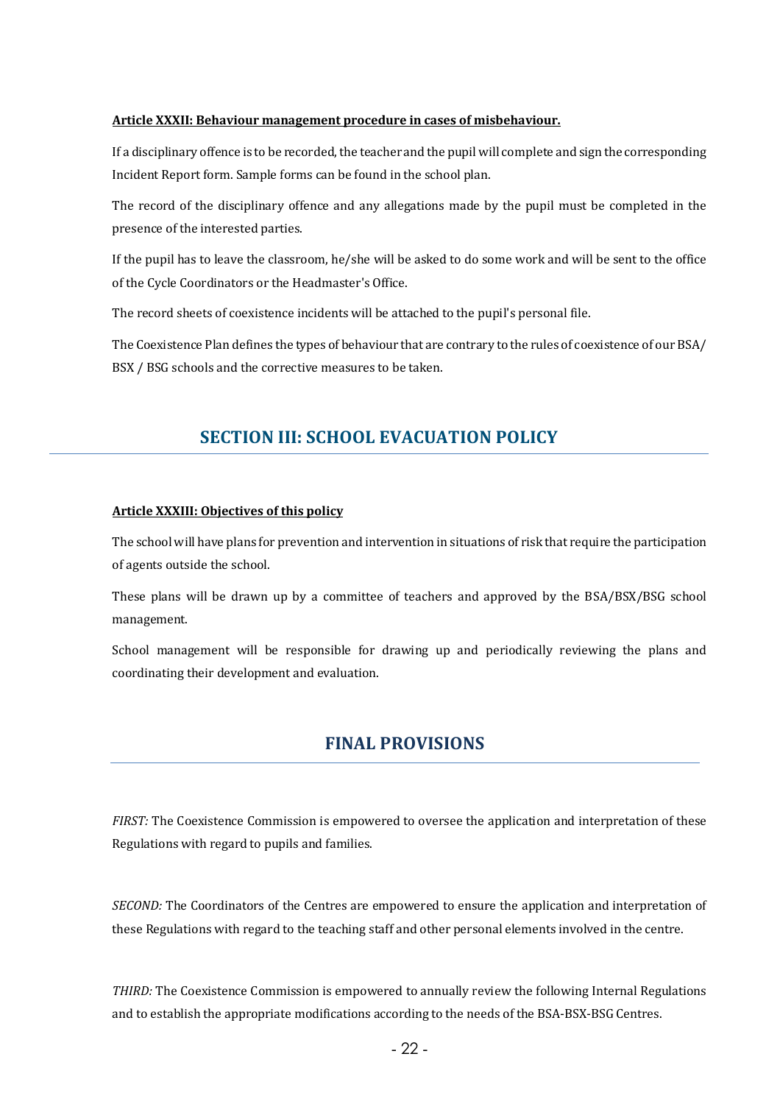#### **Article XXXII: Behaviour management procedure in cases of misbehaviour.**

If a disciplinary offence is to be recorded, the teacher and the pupil will complete and sign the corresponding Incident Report form. Sample forms can be found in the school plan.

The record of the disciplinary offence and any allegations made by the pupil must be completed in the presence of the interested parties.

If the pupil has to leave the classroom, he/she will be asked to do some work and will be sent to the office of the Cycle Coordinators or the Headmaster's Office.

The record sheets of coexistence incidents will be attached to the pupil's personal file.

The Coexistence Plan defines the types of behaviour that are contrary to the rules of coexistence of our BSA/ BSX / BSG schools and the corrective measures to be taken.

### **SECTION III: SCHOOL EVACUATION POLICY**

#### **Article XXXIII: Objectives of this policy**

The school will have plans for prevention and intervention in situations of risk that require the participation of agents outside the school.

These plans will be drawn up by a committee of teachers and approved by the BSA/BSX/BSG school management.

School management will be responsible for drawing up and periodically reviewing the plans and coordinating their development and evaluation.

### **FINAL PROVISIONS**

*FIRST:* The Coexistence Commission is empowered to oversee the application and interpretation of these Regulations with regard to pupils and families.

*SECOND:* The Coordinators of the Centres are empowered to ensure the application and interpretation of these Regulations with regard to the teaching staff and other personal elements involved in the centre.

*THIRD:* The Coexistence Commission is empowered to annually review the following Internal Regulations and to establish the appropriate modifications according to the needs of the BSA-BSX-BSG Centres.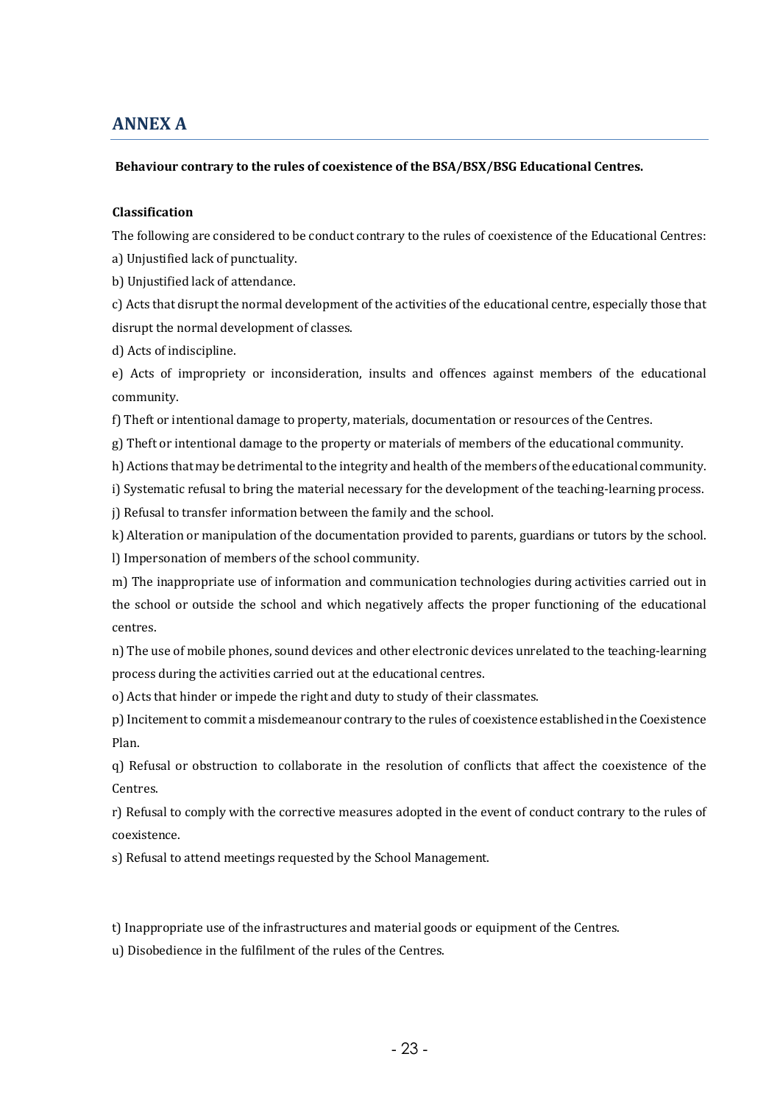### **ANNEX A**

#### Behaviour contrary to the rules of coexistence of the BSA/BSX/BSG Educational Centres.

#### **Classification**

The following are considered to be conduct contrary to the rules of coexistence of the Educational Centres:

a) Unjustified lack of punctuality.

b) Unjustified lack of attendance.

c) Acts that disrupt the normal development of the activities of the educational centre, especially those that disrupt the normal development of classes.

d) Acts of indiscipline.

e) Acts of impropriety or inconsideration, insults and offences against members of the educational community.

f) Theft or intentional damage to property, materials, documentation or resources of the Centres.

g) Theft or intentional damage to the property or materials of members of the educational community.

h) Actions that may be detrimental to the integrity and health of the members of the educational community.

i) Systematic refusal to bring the material necessary for the development of the teaching-learning process.

j) Refusal to transfer information between the family and the school.

k) Alteration or manipulation of the documentation provided to parents, guardians or tutors by the school.

l) Impersonation of members of the school community.

m) The inappropriate use of information and communication technologies during activities carried out in the school or outside the school and which negatively affects the proper functioning of the educational centres.

n) The use of mobile phones, sound devices and other electronic devices unrelated to the teaching-learning process during the activities carried out at the educational centres.

o) Acts that hinder or impede the right and duty to study of their classmates.

p) Incitement to commit a misdemeanour contrary to the rules of coexistence established in the Coexistence Plan.

q) Refusal or obstruction to collaborate in the resolution of conflicts that affect the coexistence of the Centres.

r) Refusal to comply with the corrective measures adopted in the event of conduct contrary to the rules of coexistence.

s) Refusal to attend meetings requested by the School Management.

t) Inappropriate use of the infrastructures and material goods or equipment of the Centres.

u) Disobedience in the fulfilment of the rules of the Centres.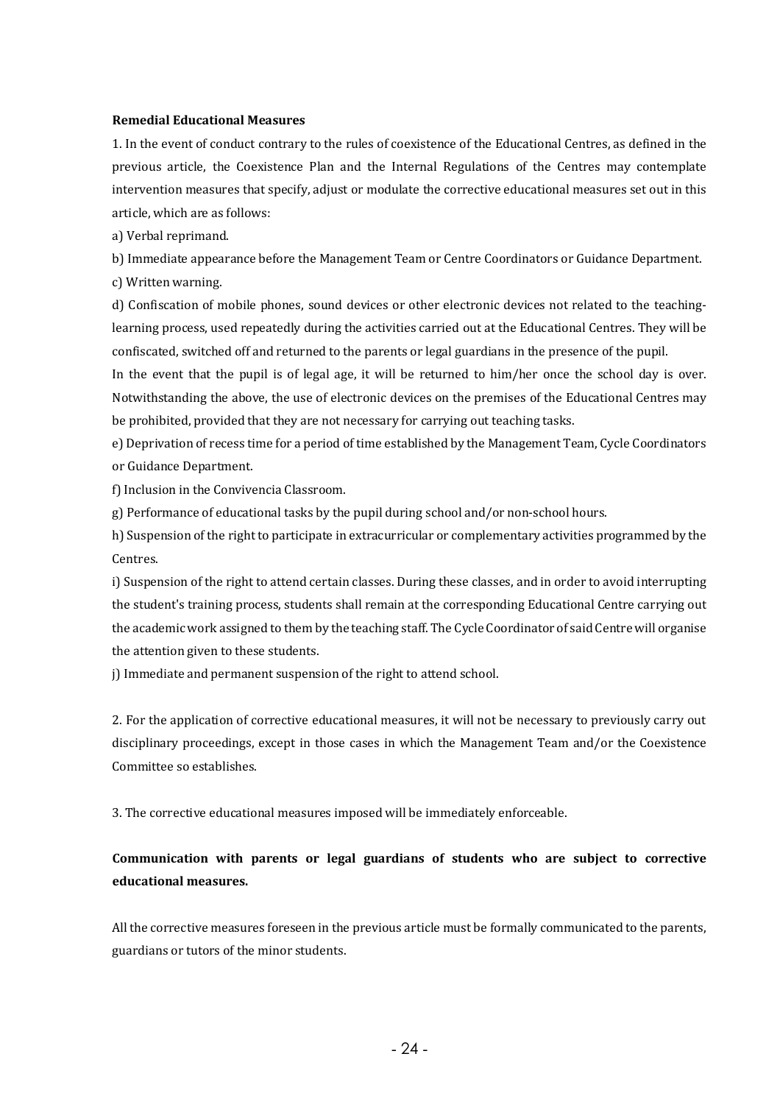#### **Remedial Educational Measures**

1. In the event of conduct contrary to the rules of coexistence of the Educational Centres, as defined in the previous article, the Coexistence Plan and the Internal Regulations of the Centres may contemplate intervention measures that specify, adjust or modulate the corrective educational measures set out in this article, which are as follows:

a) Verbal reprimand.

b) Immediate appearance before the Management Team or Centre Coordinators or Guidance Department. c) Written warning.

d) Confiscation of mobile phones, sound devices or other electronic devices not related to the teachinglearning process, used repeatedly during the activities carried out at the Educational Centres. They will be confiscated, switched off and returned to the parents or legal guardians in the presence of the pupil.

In the event that the pupil is of legal age, it will be returned to  $him/her$  once the school day is over. Notwithstanding the above, the use of electronic devices on the premises of the Educational Centres may be prohibited, provided that they are not necessary for carrying out teaching tasks.

e) Deprivation of recess time for a period of time established by the Management Team, Cycle Coordinators or Guidance Department.

f) Inclusion in the Convivencia Classroom.

 $g$ ) Performance of educational tasks by the pupil during school and/or non-school hours.

h) Suspension of the right to participate in extracurricular or complementary activities programmed by the Centres. 

i) Suspension of the right to attend certain classes. During these classes, and in order to avoid interrupting the student's training process, students shall remain at the corresponding Educational Centre carrying out the academic work assigned to them by the teaching staff. The Cycle Coordinator of said Centre will organise the attention given to these students.

j) Immediate and permanent suspension of the right to attend school.

2. For the application of corrective educational measures, it will not be necessary to previously carry out disciplinary proceedings, except in those cases in which the Management Team and/or the Coexistence Committee so establishes.

3. The corrective educational measures imposed will be immediately enforceable.

### Communication with parents or legal guardians of students who are subject to corrective **educational measures.**

All the corrective measures foreseen in the previous article must be formally communicated to the parents, guardians or tutors of the minor students.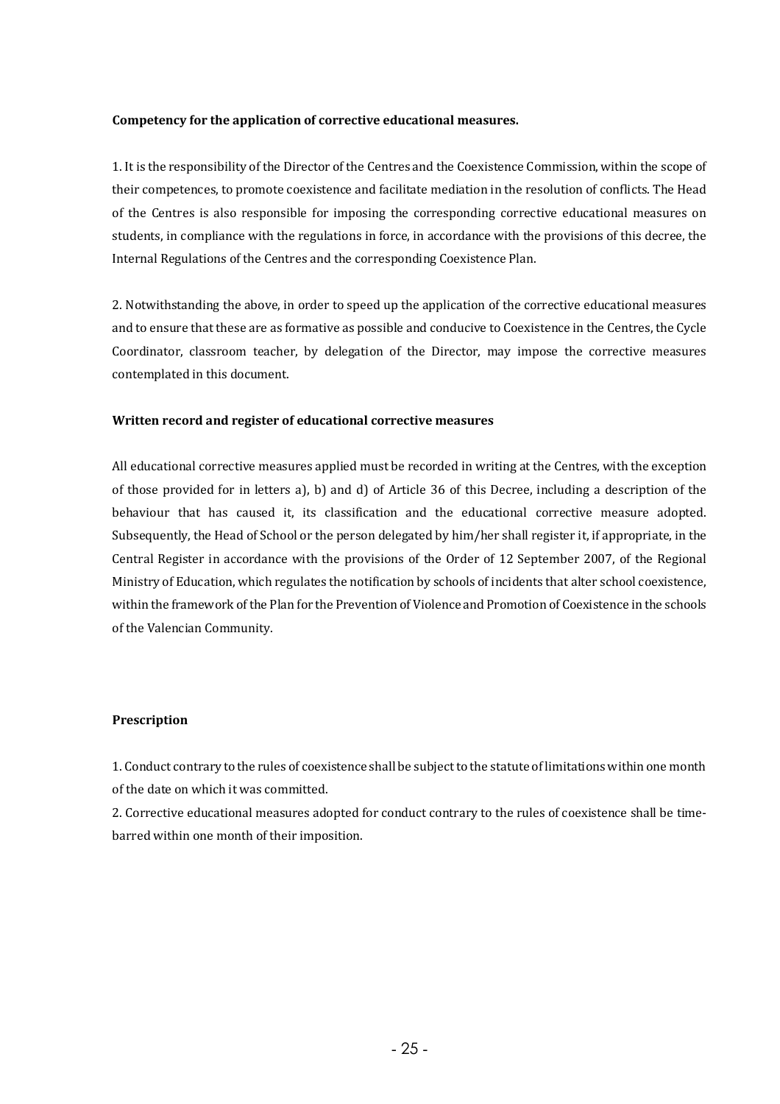#### Competency for the application of corrective educational measures.

1. It is the responsibility of the Director of the Centres and the Coexistence Commission, within the scope of their competences, to promote coexistence and facilitate mediation in the resolution of conflicts. The Head of the Centres is also responsible for imposing the corresponding corrective educational measures on students, in compliance with the regulations in force, in accordance with the provisions of this decree, the Internal Regulations of the Centres and the corresponding Coexistence Plan.

2. Notwithstanding the above, in order to speed up the application of the corrective educational measures and to ensure that these are as formative as possible and conducive to Coexistence in the Centres, the Cycle Coordinator, classroom teacher, by delegation of the Director, may impose the corrective measures contemplated in this document.

#### **Written record and register of educational corrective measures**

All educational corrective measures applied must be recorded in writing at the Centres, with the exception of those provided for in letters a), b) and d) of Article 36 of this Decree, including a description of the behaviour that has caused it, its classification and the educational corrective measure adopted. Subsequently, the Head of School or the person delegated by him/her shall register it, if appropriate, in the Central Register in accordance with the provisions of the Order of 12 September 2007, of the Regional Ministry of Education, which regulates the notification by schools of incidents that alter school coexistence, within the framework of the Plan for the Prevention of Violence and Promotion of Coexistence in the schools of the Valencian Community.

#### **Prescription**

1. Conduct contrary to the rules of coexistence shall be subject to the statute of limitations within one month of the date on which it was committed.

2. Corrective educational measures adopted for conduct contrary to the rules of coexistence shall be timebarred within one month of their imposition.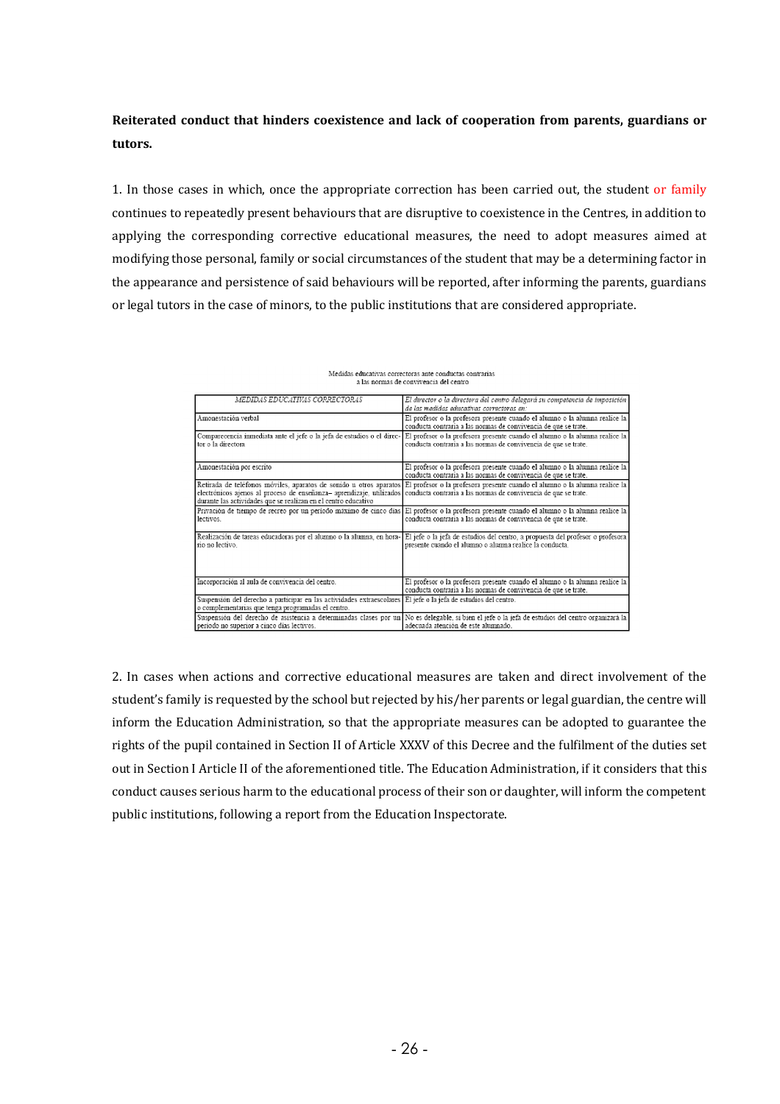### Reiterated conduct that hinders coexistence and lack of cooperation from parents, guardians or **tutors.**

1. In those cases in which, once the appropriate correction has been carried out, the student or family continues to repeatedly present behaviours that are disruptive to coexistence in the Centres, in addition to applying the corresponding corrective educational measures, the need to adopt measures aimed at modifying those personal, family or social circumstances of the student that may be a determining factor in the appearance and persistence of said behaviours will be reported, after informing the parents, guardians or legal tutors in the case of minors, to the public institutions that are considered appropriate.

| MEDIDAS EDUCATIVAS CORRECTORAS                                                                                                                                                                        | El director o la directora del centro delegará su competencia de imposición<br>de las medidas educativas correctoras en:                                                                                              |  |
|-------------------------------------------------------------------------------------------------------------------------------------------------------------------------------------------------------|-----------------------------------------------------------------------------------------------------------------------------------------------------------------------------------------------------------------------|--|
| Amonestación verbal                                                                                                                                                                                   | El profesor o la profesora presente cuando el alumno o la alumna realice la<br>conducta contraria a las normas de convivencia de que se trate.                                                                        |  |
| tor o la directora                                                                                                                                                                                    | Comparecencia inmediata ante el jefe o la jefa de estudios o el direc- El profesor o la profesora presente cuando el alumno o la alumna realice la<br>conducta contraria a las normas de convivencia de que se trate. |  |
| Amonestación por escrito                                                                                                                                                                              | El profesor o la profesora presente cuando el alumno o la alumna realice la<br>conducta contraria a las normas de convivencia de que se trate.                                                                        |  |
| electrónicos ajenos al proceso de enseñanza-aprendizaje, utilizados conducta contraria a las normas de convivencia de que se trate.<br>durante las actividades que se realizan en el centro educativo | Retirada de teléfonos móviles, aparatos de sonido u otros aparatos El profesor o la profesora presente cuando el alumno o la alumna realice la                                                                        |  |
| lectivos.                                                                                                                                                                                             | Privación de tiempo de recreo por un período máximo de cinco días El profesor o la profesora presente cuando el alumno o la alumna realice la<br>conducta contraria a las normas de convivencia de que se trate.      |  |
| Realización de tareas educadoras por el alumno o la alumna, en hora-<br>rio no lectivo                                                                                                                | El jefe o la jefa de estudios del centro, a propuesta del profesor o profesora<br>presente cuando el alumno o alumna realice la conducta.                                                                             |  |
| Incorporación al aula de convivencia del centro.                                                                                                                                                      | El profesor o la profesora presente cuando el alumno o la alumna realice la<br>conducta contraria a las normas de convivencia de que se trate.                                                                        |  |
| Suspensión del derecho a participar en las actividades extraescolares El jefe o la jefa de estudios del centro.<br>o complementarias que tenga programadas el centro.                                 |                                                                                                                                                                                                                       |  |
| período no superior a cinco días lectivos.                                                                                                                                                            | Suspensión del derecho de asistencia a determinadas clases por un No es delegable, si bien el jefe o la jefa de estudios del centro organizará la<br>adecuada atención de este alumnado.                              |  |

Medidas educativas correctoras ante conductas contrarias a las normas de convivencia del centro

2. In cases when actions and corrective educational measures are taken and direct involvement of the student's family is requested by the school but rejected by his/her parents or legal guardian, the centre will inform the Education Administration, so that the appropriate measures can be adopted to guarantee the rights of the pupil contained in Section II of Article XXXV of this Decree and the fulfilment of the duties set out in Section I Article II of the aforementioned title. The Education Administration, if it considers that this conduct causes serious harm to the educational process of their son or daughter, will inform the competent public institutions, following a report from the Education Inspectorate.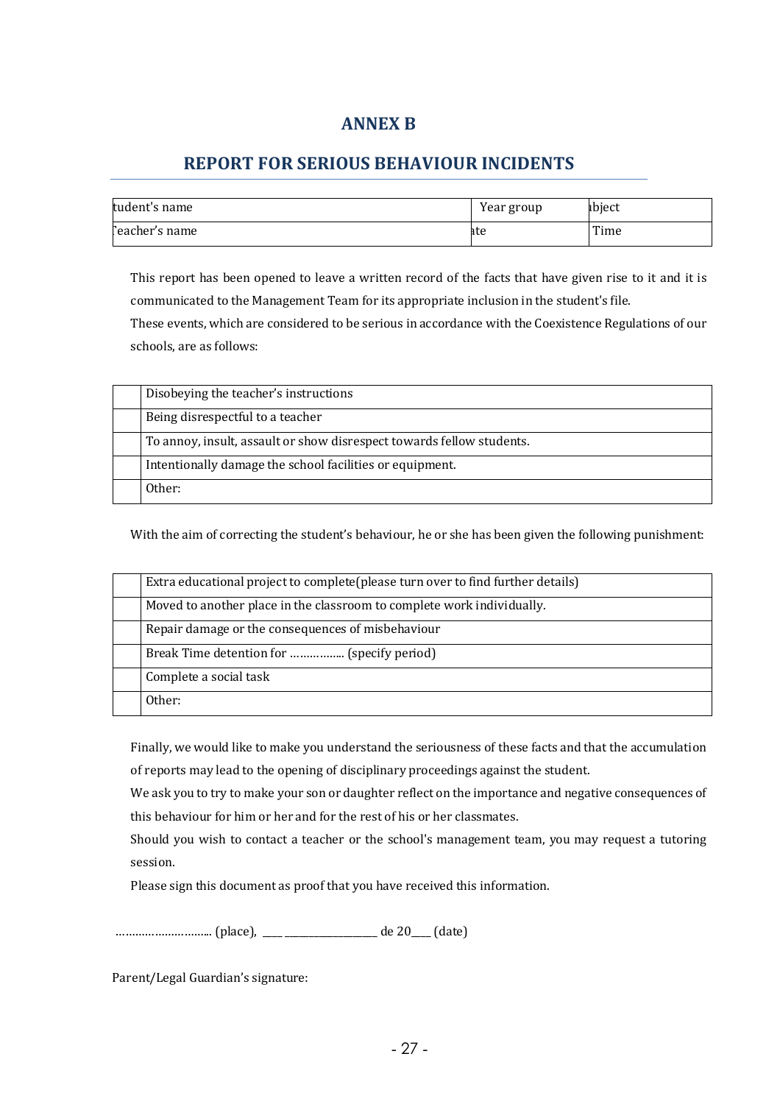### **ANNEX B**

### **REPORT FOR SERIOUS BEHAVIOUR INCIDENTS**

| tudent's name   | Year group | ıbiect |
|-----------------|------------|--------|
| l'eacher's name | ate        | Time   |

This report has been opened to leave a written record of the facts that have given rise to it and it is communicated to the Management Team for its appropriate inclusion in the student's file. These events, which are considered to be serious in accordance with the Coexistence Regulations of our schools, are as follows:

| Disobeying the teacher's instructions                                 |
|-----------------------------------------------------------------------|
| Being disrespectful to a teacher                                      |
| To annoy, insult, assault or show disrespect towards fellow students. |
| Intentionally damage the school facilities or equipment.              |
| Other:                                                                |

With the aim of correcting the student's behaviour, he or she has been given the following punishment:

| Extra educational project to complete (please turn over to find further details) |
|----------------------------------------------------------------------------------|
| Moved to another place in the classroom to complete work individually.           |
| Repair damage or the consequences of misbehaviour                                |
| Break Time detention for  (specify period)                                       |
| Complete a social task                                                           |
| Other:                                                                           |

Finally, we would like to make you understand the seriousness of these facts and that the accumulation

of reports may lead to the opening of disciplinary proceedings against the student.

We ask you to try to make your son or daughter reflect on the importance and negative consequences of this behaviour for him or her and for the rest of his or her classmates.

Should you wish to contact a teacher or the school's management team, you may request a tutoring session. 

Please sign this document as proof that you have received this information.

………………………... (place), \_\_\_\_ \_\_\_\_\_\_\_\_\_\_\_\_\_\_\_\_\_\_\_ de 20\_\_\_\_ (date) 

Parent/Legal Guardian's signature: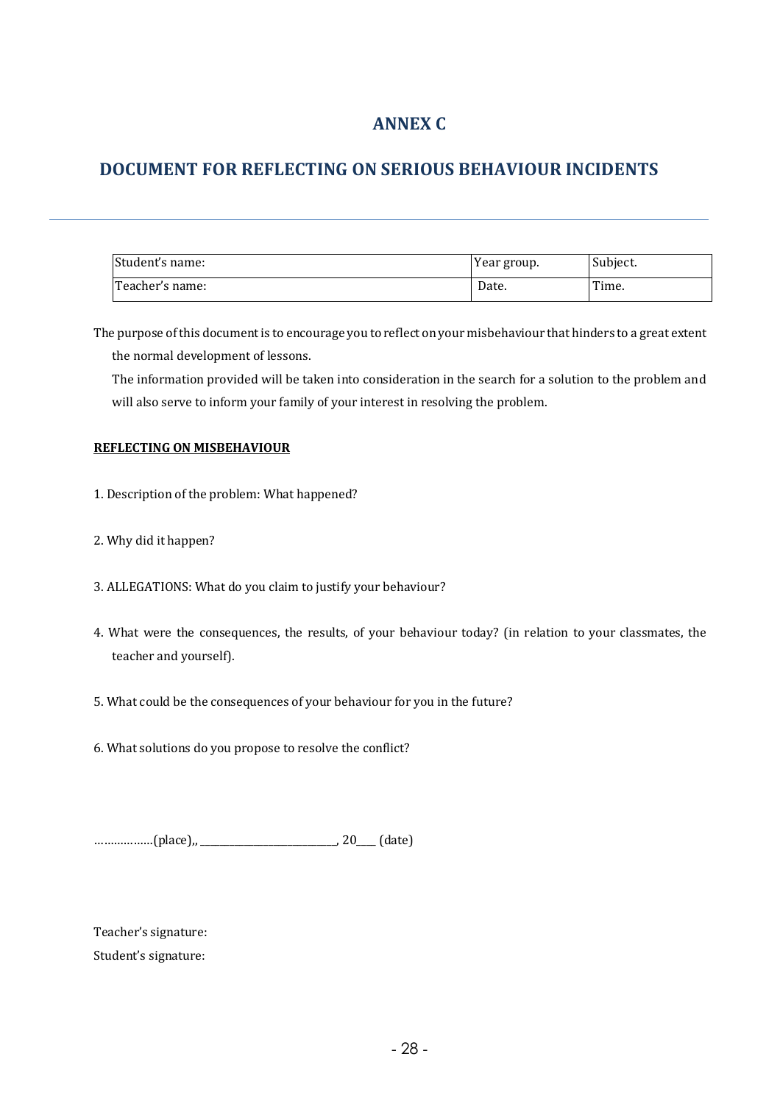### **ANNEX C**

### **DOCUMENT FOR REFLECTING ON SERIOUS BEHAVIOUR INCIDENTS**

| Student's name: | Year group. | Subject. |
|-----------------|-------------|----------|
| Teacher's name: | Date.       | Time.    |

The purpose of this document is to encourage you to reflect on your misbehaviour that hinders to a great extent the normal development of lessons.

The information provided will be taken into consideration in the search for a solution to the problem and will also serve to inform your family of your interest in resolving the problem.

#### **REFLECTING ON MISBEHAVIOUR**

- 1. Description of the problem: What happened?
- 2. Why did it happen?
- 3. ALLEGATIONS: What do you claim to justify your behaviour?
- 4. What were the consequences, the results, of your behaviour today? (in relation to your classmates, the teacher and yourself).
- 5. What could be the consequences of your behaviour for you in the future?
- 6. What solutions do you propose to resolve the conflict?

………………(place),, \_\_\_\_\_\_\_\_\_\_\_\_\_\_\_\_\_\_\_\_\_\_\_\_\_\_\_\_, 20\_\_\_\_ (date)

Teacher's signature: Student's signature: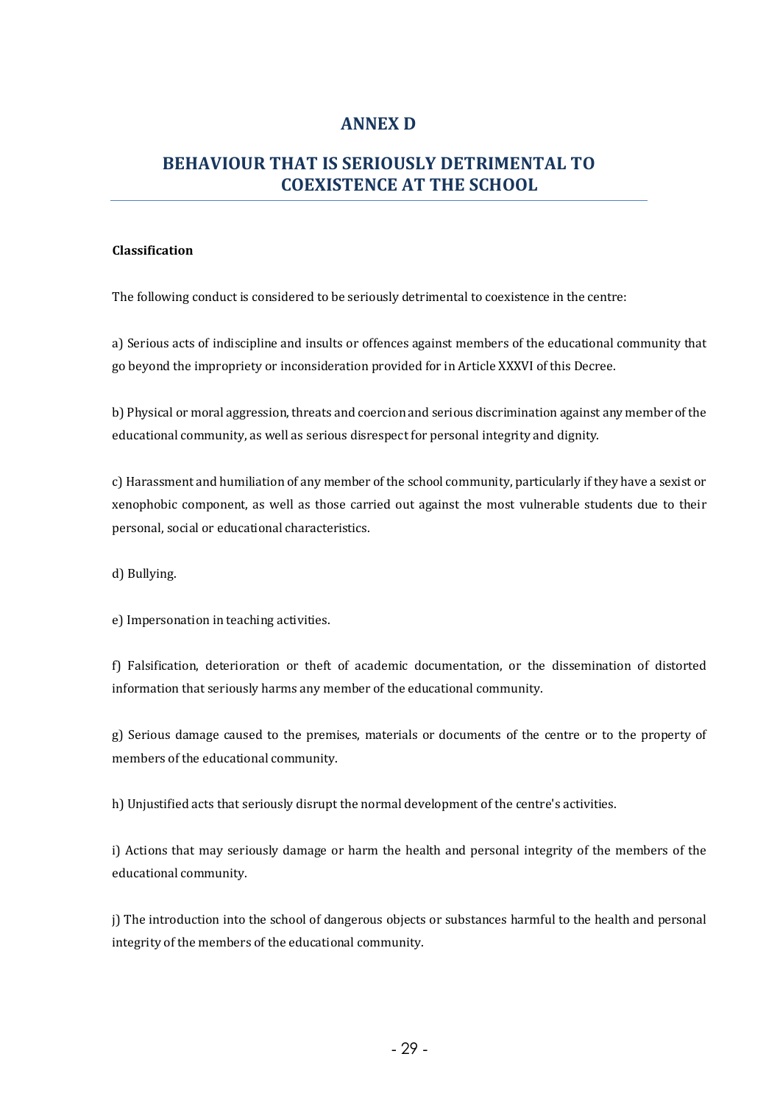### **ANNEX D**

### **BEHAVIOUR THAT IS SERIOUSLY DETRIMENTAL TO COEXISTENCE AT THE SCHOOL**

#### **Classification**

The following conduct is considered to be seriously detrimental to coexistence in the centre:

a) Serious acts of indiscipline and insults or offences against members of the educational community that go beyond the impropriety or inconsideration provided for in Article XXXVI of this Decree.

b) Physical or moral aggression, threats and coercion and serious discrimination against any member of the educational community, as well as serious disrespect for personal integrity and dignity.

c) Harassment and humiliation of any member of the school community, particularly if they have a sexist or xenophobic component, as well as those carried out against the most vulnerable students due to their personal, social or educational characteristics.

d) Bullying.

e) Impersonation in teaching activities.

f) Falsification, deterioration or theft of academic documentation, or the dissemination of distorted information that seriously harms any member of the educational community.

g) Serious damage caused to the premises, materials or documents of the centre or to the property of members of the educational community.

h) Unjustified acts that seriously disrupt the normal development of the centre's activities.

i) Actions that may seriously damage or harm the health and personal integrity of the members of the educational community.

j) The introduction into the school of dangerous objects or substances harmful to the health and personal integrity of the members of the educational community.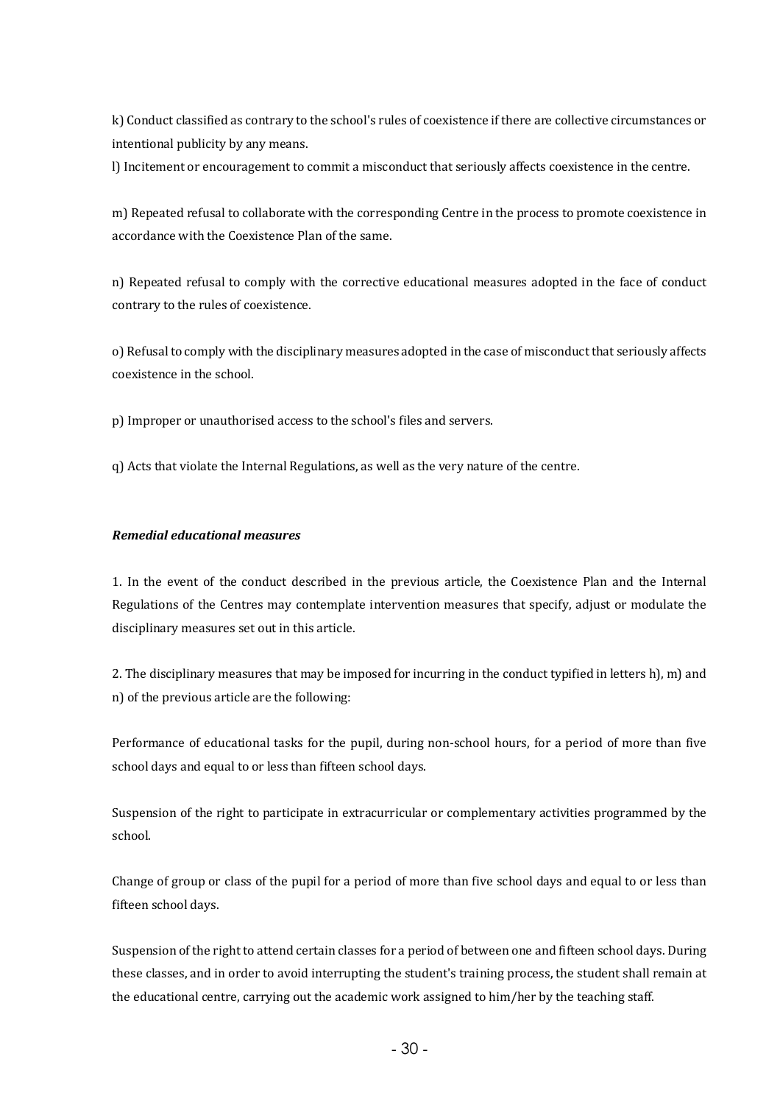k) Conduct classified as contrary to the school's rules of coexistence if there are collective circumstances or intentional publicity by any means.

l) Incitement or encouragement to commit a misconduct that seriously affects coexistence in the centre.

m) Repeated refusal to collaborate with the corresponding Centre in the process to promote coexistence in accordance with the Coexistence Plan of the same.

n) Repeated refusal to comply with the corrective educational measures adopted in the face of conduct contrary to the rules of coexistence.

o) Refusal to comply with the disciplinary measures adopted in the case of misconduct that seriously affects coexistence in the school.

p) Improper or unauthorised access to the school's files and servers.

q) Acts that violate the Internal Regulations, as well as the very nature of the centre.

#### *Remedial educational measures*

1. In the event of the conduct described in the previous article, the Coexistence Plan and the Internal Regulations of the Centres may contemplate intervention measures that specify, adjust or modulate the disciplinary measures set out in this article.

2. The disciplinary measures that may be imposed for incurring in the conduct typified in letters h), m) and n) of the previous article are the following:

Performance of educational tasks for the pupil, during non-school hours, for a period of more than five school days and equal to or less than fifteen school days.

Suspension of the right to participate in extracurricular or complementary activities programmed by the school.

Change of group or class of the pupil for a period of more than five school days and equal to or less than fifteen school days.

Suspension of the right to attend certain classes for a period of between one and fifteen school days. During these classes, and in order to avoid interrupting the student's training process, the student shall remain at the educational centre, carrying out the academic work assigned to him/her by the teaching staff.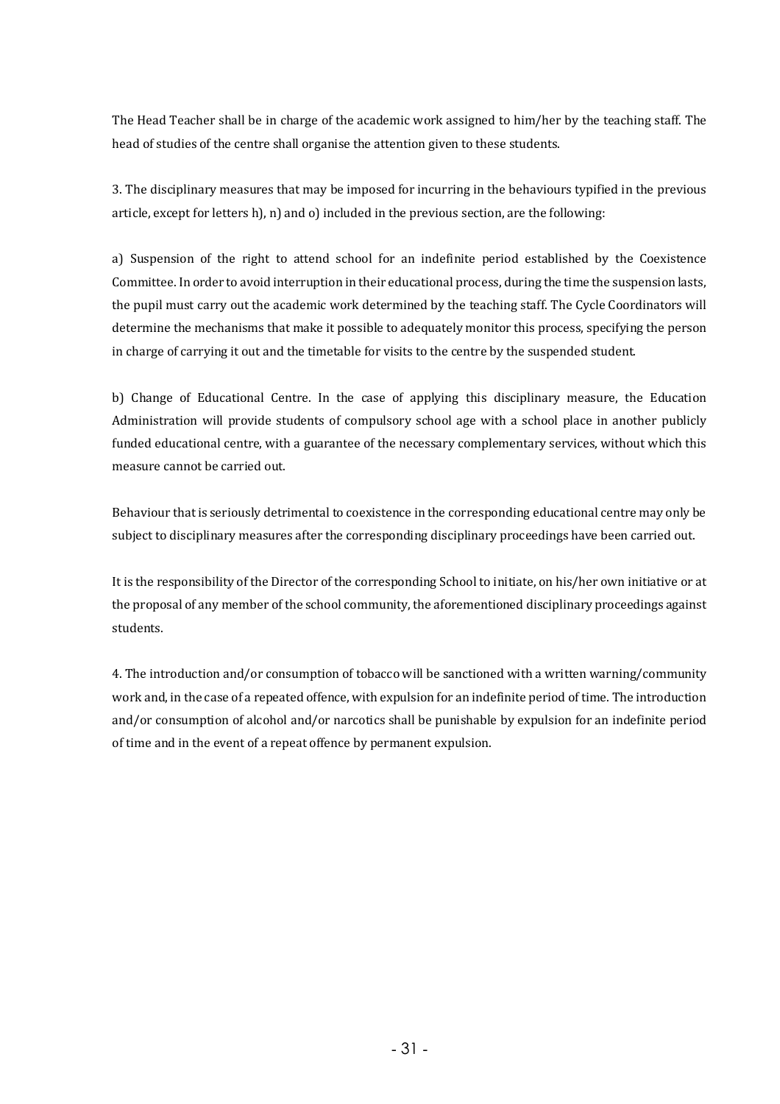The Head Teacher shall be in charge of the academic work assigned to him/her by the teaching staff. The head of studies of the centre shall organise the attention given to these students.

3. The disciplinary measures that may be imposed for incurring in the behaviours typified in the previous article, except for letters  $h$ ,  $n$ ) and  $o$ ) included in the previous section, are the following:

a) Suspension of the right to attend school for an indefinite period established by the Coexistence Committee. In order to avoid interruption in their educational process, during the time the suspension lasts, the pupil must carry out the academic work determined by the teaching staff. The Cycle Coordinators will determine the mechanisms that make it possible to adequately monitor this process, specifying the person in charge of carrying it out and the timetable for visits to the centre by the suspended student.

b) Change of Educational Centre. In the case of applying this disciplinary measure, the Education Administration will provide students of compulsory school age with a school place in another publicly funded educational centre, with a guarantee of the necessary complementary services, without which this measure cannot be carried out.

Behaviour that is seriously detrimental to coexistence in the corresponding educational centre may only be subject to disciplinary measures after the corresponding disciplinary proceedings have been carried out.

It is the responsibility of the Director of the corresponding School to initiate, on his/her own initiative or at the proposal of any member of the school community, the aforementioned disciplinary proceedings against students.

4. The introduction and/or consumption of tobacco will be sanctioned with a written warning/community work and, in the case of a repeated offence, with expulsion for an indefinite period of time. The introduction and/or consumption of alcohol and/or narcotics shall be punishable by expulsion for an indefinite period of time and in the event of a repeat offence by permanent expulsion.